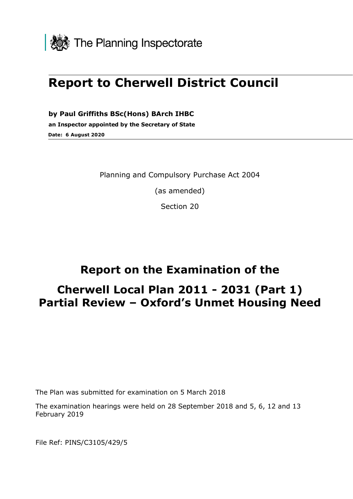

# **Report to Cherwell District Council**

**by Paul Griffiths BSc(Hons) BArch IHBC an Inspector appointed by the Secretary of State Date: 6 August 2020**

Planning and Compulsory Purchase Act 2004

(as amended)

Section 20

# **Report on the Examination of the**

# **Cherwell Local Plan 2011 - 2031 (Part 1) Partial Review – Oxford's Unmet Housing Need**

The Plan was submitted for examination on 5 March 2018

The examination hearings were held on 28 September 2018 and 5, 6, 12 and 13 February 2019

File Ref: PINS/C3105/429/5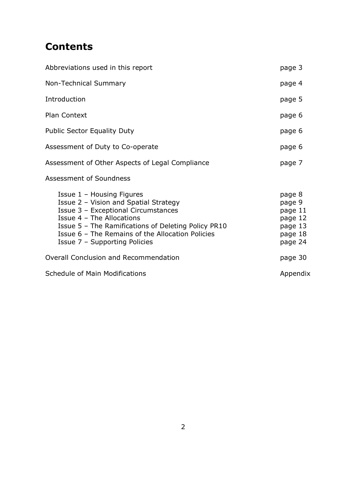# **Contents**

| Abbreviations used in this report                                                                                                                                                                                                                                                  |                                                                         |  |  |  |
|------------------------------------------------------------------------------------------------------------------------------------------------------------------------------------------------------------------------------------------------------------------------------------|-------------------------------------------------------------------------|--|--|--|
| Non-Technical Summary                                                                                                                                                                                                                                                              |                                                                         |  |  |  |
| Introduction                                                                                                                                                                                                                                                                       | page 5                                                                  |  |  |  |
| <b>Plan Context</b>                                                                                                                                                                                                                                                                | page 6                                                                  |  |  |  |
| <b>Public Sector Equality Duty</b>                                                                                                                                                                                                                                                 | page 6                                                                  |  |  |  |
| Assessment of Duty to Co-operate                                                                                                                                                                                                                                                   | page 6                                                                  |  |  |  |
| Assessment of Other Aspects of Legal Compliance                                                                                                                                                                                                                                    | page 7                                                                  |  |  |  |
| Assessment of Soundness                                                                                                                                                                                                                                                            |                                                                         |  |  |  |
| Issue 1 - Housing Figures<br>Issue 2 - Vision and Spatial Strategy<br>Issue 3 - Exceptional Circumstances<br>Issue 4 - The Allocations<br>Issue 5 - The Ramifications of Deleting Policy PR10<br>Issue 6 - The Remains of the Allocation Policies<br>Issue 7 - Supporting Policies | page 8<br>page 9<br>page 11<br>page 12<br>page 13<br>page 18<br>page 24 |  |  |  |
| Overall Conclusion and Recommendation                                                                                                                                                                                                                                              |                                                                         |  |  |  |
| Schedule of Main Modifications                                                                                                                                                                                                                                                     | Appendix                                                                |  |  |  |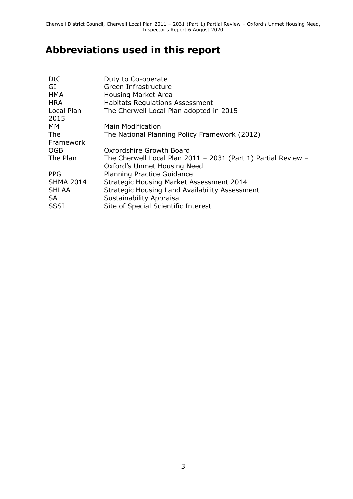# **Abbreviations used in this report**

| D <sub>t</sub> C   | Duty to Co-operate                                              |
|--------------------|-----------------------------------------------------------------|
| GI                 | Green Infrastructure                                            |
| <b>HMA</b>         | <b>Housing Market Area</b>                                      |
| <b>HRA</b>         | <b>Habitats Regulations Assessment</b>                          |
| Local Plan<br>2015 | The Cherwell Local Plan adopted in 2015                         |
| MM.                | <b>Main Modification</b>                                        |
| <b>The</b>         | The National Planning Policy Framework (2012)                   |
| Framework          |                                                                 |
| <b>OGB</b>         | Oxfordshire Growth Board                                        |
| The Plan           | The Cherwell Local Plan $2011 - 2031$ (Part 1) Partial Review - |
|                    | Oxford's Unmet Housing Need                                     |
| <b>PPG</b>         | <b>Planning Practice Guidance</b>                               |
| <b>SHMA 2014</b>   | <b>Strategic Housing Market Assessment 2014</b>                 |
| <b>SHLAA</b>       | Strategic Housing Land Availability Assessment                  |
| <b>SA</b>          | Sustainability Appraisal                                        |
| <b>SSSI</b>        | Site of Special Scientific Interest                             |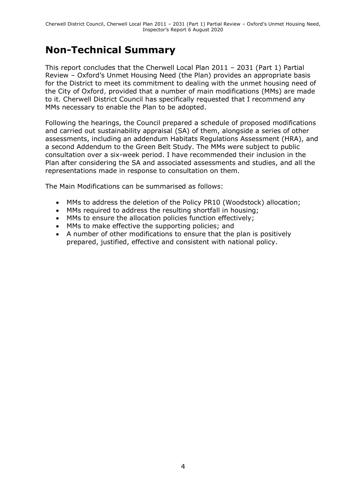# **Non-Technical Summary**

This report concludes that the Cherwell Local Plan 2011 – 2031 (Part 1) Partial Review – Oxford's Unmet Housing Need (the Plan) provides an appropriate basis for the District to meet its commitment to dealing with the unmet housing need of the City of Oxford, provided that a number of main modifications (MMs) are made to it. Cherwell District Council has specifically requested that I recommend any MMs necessary to enable the Plan to be adopted.

Following the hearings, the Council prepared a schedule of proposed modifications and carried out sustainability appraisal (SA) of them, alongside a series of other assessments, including an addendum Habitats Regulations Assessment (HRA), and a second Addendum to the Green Belt Study. The MMs were subject to public consultation over a six-week period. I have recommended their inclusion in the Plan after considering the SA and associated assessments and studies, and all the representations made in response to consultation on them.

The Main Modifications can be summarised as follows:

- MMs to address the deletion of the Policy PR10 (Woodstock) allocation;
- MMs required to address the resulting shortfall in housing;
- MMs to ensure the allocation policies function effectively:
- MMs to make effective the supporting policies; and
- A number of other modifications to ensure that the plan is positively prepared, justified, effective and consistent with national policy.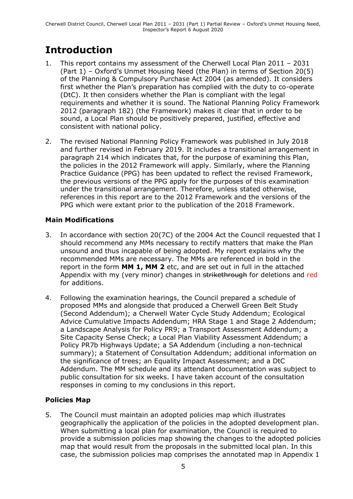# **Introduction**

- 1. This report contains my assessment of the Cherwell Local Plan 2011 2031 (Part 1) – Oxford's Unmet Housing Need (the Plan) in terms of Section 20(5) of the Planning & Compulsory Purchase Act 2004 (as amended). It considers first whether the Plan's preparation has complied with the duty to co-operate (DtC). It then considers whether the Plan is compliant with the legal requirements and whether it is sound. The National Planning Policy Framework 2012 (paragraph 182) (the Framework) makes it clear that in order to be sound, a Local Plan should be positively prepared, justified, effective and consistent with national policy.
- 2. The revised National Planning Policy Framework was published in July 2018 and further revised in February 2019. It includes a transitional arrangement in paragraph 214 which indicates that, for the purpose of examining this Plan, the policies in the 2012 Framework will apply. Similarly, where the Planning Practice Guidance (PPG) has been updated to reflect the revised Framework, the previous versions of the PPG apply for the purposes of this examination under the transitional arrangement. Therefore, unless stated otherwise, references in this report are to the 2012 Framework and the versions of the PPG which were extant prior to the publication of the 2018 Framework.

### **Main Modifications**

- 3. In accordance with section 20(7C) of the 2004 Act the Council requested that I should recommend any MMs necessary to rectify matters that make the Plan unsound and thus incapable of being adopted. My report explains why the recommended MMs are necessary. The MMs are referenced in bold in the report in the form **MM 1, MM 2** etc, and are set out in full in the attached Appendix with my (very minor) changes in strikethrough for deletions and red for additions.
- 4. Following the examination hearings, the Council prepared a schedule of proposed MMs and alongside that produced a Cherwell Green Belt Study (Second Addendum); a Cherwell Water Cycle Study Addendum; Ecological Advice Cumulative Impacts Addendum; HRA Stage 1 and Stage 2 Addendum; a Landscape Analysis for Policy PR9; a Transport Assessment Addendum; a Site Capacity Sense Check; a Local Plan Viability Assessment Addendum; a Policy PR7b Highways Update; a SA Addendum (including a non-technical summary); a Statement of Consultation Addendum; additional information on the significance of trees; an Equality Impact Assessment; and a DtC Addendum. The MM schedule and its attendant documentation was subject to public consultation for six weeks. I have taken account of the consultation responses in coming to my conclusions in this report.

## **Policies Map**

5. The Council must maintain an adopted policies map which illustrates geographically the application of the policies in the adopted development plan. When submitting a local plan for examination, the Council is required to provide a submission policies map showing the changes to the adopted policies map that would result from the proposals in the submitted local plan. In this case, the submission policies map comprises the annotated map in Appendix 1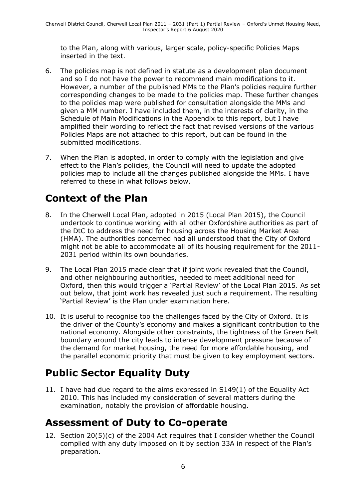to the Plan, along with various, larger scale, policy-specific Policies Maps inserted in the text.

- 6. The policies map is not defined in statute as a development plan document and so I do not have the power to recommend main modifications to it. However, a number of the published MMs to the Plan's policies require further corresponding changes to be made to the policies map. These further changes to the policies map were published for consultation alongside the MMs and given a MM number. I have included them, in the interests of clarity, in the Schedule of Main Modifications in the Appendix to this report, but I have amplified their wording to reflect the fact that revised versions of the various Policies Maps are not attached to this report, but can be found in the submitted modifications.
- 7. When the Plan is adopted, in order to comply with the legislation and give effect to the Plan's policies, the Council will need to update the adopted policies map to include all the changes published alongside the MMs. I have referred to these in what follows below.

# **Context of the Plan**

- 8. In the Cherwell Local Plan, adopted in 2015 (Local Plan 2015), the Council undertook to continue working with all other Oxfordshire authorities as part of the DtC to address the need for housing across the Housing Market Area (HMA). The authorities concerned had all understood that the City of Oxford might not be able to accommodate all of its housing requirement for the 2011- 2031 period within its own boundaries.
- 9. The Local Plan 2015 made clear that if joint work revealed that the Council, and other neighbouring authorities, needed to meet additional need for Oxford, then this would trigger a 'Partial Review' of the Local Plan 2015. As set out below, that joint work has revealed just such a requirement. The resulting 'Partial Review' is the Plan under examination here.
- 10. It is useful to recognise too the challenges faced by the City of Oxford. It is the driver of the County's economy and makes a significant contribution to the national economy. Alongside other constraints, the tightness of the Green Belt boundary around the city leads to intense development pressure because of the demand for market housing, the need for more affordable housing, and the parallel economic priority that must be given to key employment sectors.

# **Public Sector Equality Duty**

11. I have had due regard to the aims expressed in S149(1) of the Equality Act 2010. This has included my consideration of several matters during the examination, notably the provision of affordable housing.

# **Assessment of Duty to Co-operate**

12. Section 20(5)(c) of the 2004 Act requires that I consider whether the Council complied with any duty imposed on it by section 33A in respect of the Plan's preparation.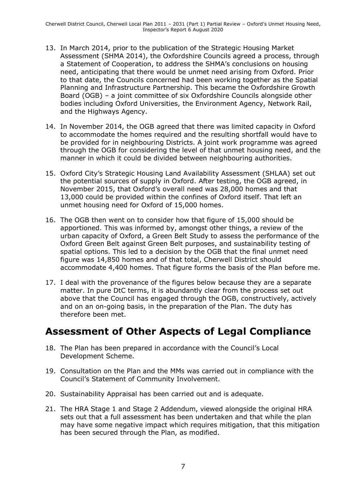- 13. In March 2014, prior to the publication of the Strategic Housing Market Assessment (SHMA 2014), the Oxfordshire Councils agreed a process, through a Statement of Cooperation, to address the SHMA's conclusions on housing need, anticipating that there would be unmet need arising from Oxford. Prior to that date, the Councils concerned had been working together as the Spatial Planning and Infrastructure Partnership. This became the Oxfordshire Growth Board (OGB) – a joint committee of six Oxfordshire Councils alongside other bodies including Oxford Universities, the Environment Agency, Network Rail, and the Highways Agency.
- 14. In November 2014, the OGB agreed that there was limited capacity in Oxford to accommodate the homes required and the resulting shortfall would have to be provided for in neighbouring Districts. A joint work programme was agreed through the OGB for considering the level of that unmet housing need, and the manner in which it could be divided between neighbouring authorities.
- 15. Oxford City's Strategic Housing Land Availability Assessment (SHLAA) set out the potential sources of supply in Oxford. After testing, the OGB agreed, in November 2015, that Oxford's overall need was 28,000 homes and that 13,000 could be provided within the confines of Oxford itself. That left an unmet housing need for Oxford of 15,000 homes.
- 16. The OGB then went on to consider how that figure of 15,000 should be apportioned. This was informed by, amongst other things, a review of the urban capacity of Oxford, a Green Belt Study to assess the performance of the Oxford Green Belt against Green Belt purposes, and sustainability testing of spatial options. This led to a decision by the OGB that the final unmet need figure was 14,850 homes and of that total, Cherwell District should accommodate 4,400 homes. That figure forms the basis of the Plan before me.
- 17. I deal with the provenance of the figures below because they are a separate matter. In pure DtC terms, it is abundantly clear from the process set out above that the Council has engaged through the OGB, constructively, actively and on an on-going basis, in the preparation of the Plan. The duty has therefore been met.

## **Assessment of Other Aspects of Legal Compliance**

- 18. The Plan has been prepared in accordance with the Council's Local Development Scheme.
- 19. Consultation on the Plan and the MMs was carried out in compliance with the Council's Statement of Community Involvement.
- 20. Sustainability Appraisal has been carried out and is adequate.
- 21. The HRA Stage 1 and Stage 2 Addendum, viewed alongside the original HRA sets out that a full assessment has been undertaken and that while the plan may have some negative impact which requires mitigation, that this mitigation has been secured through the Plan, as modified.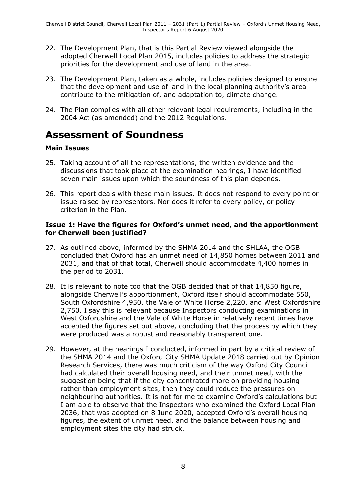- 22. The Development Plan, that is this Partial Review viewed alongside the adopted Cherwell Local Plan 2015, includes policies to address the strategic priorities for the development and use of land in the area.
- 23. The Development Plan, taken as a whole, includes policies designed to ensure that the development and use of land in the local planning authority's area contribute to the mitigation of, and adaptation to, climate change.
- 24. The Plan complies with all other relevant legal requirements, including in the 2004 Act (as amended) and the 2012 Regulations.

# **Assessment of Soundness**

#### **Main Issues**

- 25. Taking account of all the representations, the written evidence and the discussions that took place at the examination hearings, I have identified seven main issues upon which the soundness of this plan depends.
- 26. This report deals with these main issues. It does not respond to every point or issue raised by representors. Nor does it refer to every policy, or policy criterion in the Plan.

#### **Issue 1: Have the figures for Oxford's unmet need, and the apportionment for Cherwell been justified?**

- 27. As outlined above, informed by the SHMA 2014 and the SHLAA, the OGB concluded that Oxford has an unmet need of 14,850 homes between 2011 and 2031, and that of that total, Cherwell should accommodate 4,400 homes in the period to 2031.
- 28. It is relevant to note too that the OGB decided that of that 14,850 figure, alongside Cherwell's apportionment, Oxford itself should accommodate 550, South Oxfordshire 4,950, the Vale of White Horse 2,220, and West Oxfordshire 2,750. I say this is relevant because Inspectors conducting examinations in West Oxfordshire and the Vale of White Horse in relatively recent times have accepted the figures set out above, concluding that the process by which they were produced was a robust and reasonably transparent one.
- 29. However, at the hearings I conducted, informed in part by a critical review of the SHMA 2014 and the Oxford City SHMA Update 2018 carried out by Opinion Research Services, there was much criticism of the way Oxford City Council had calculated their overall housing need, and their unmet need, with the suggestion being that if the city concentrated more on providing housing rather than employment sites, then they could reduce the pressures on neighbouring authorities. It is not for me to examine Oxford's calculations but I am able to observe that the Inspectors who examined the Oxford Local Plan 2036, that was adopted on 8 June 2020, accepted Oxford's overall housing figures, the extent of unmet need, and the balance between housing and employment sites the city had struck.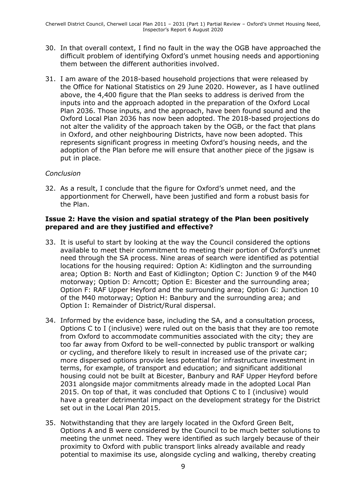- 30. In that overall context, I find no fault in the way the OGB have approached the difficult problem of identifying Oxford's unmet housing needs and apportioning them between the different authorities involved.
- 31. I am aware of the 2018-based household projections that were released by the Office for National Statistics on 29 June 2020. However, as I have outlined above, the 4,400 figure that the Plan seeks to address is derived from the inputs into and the approach adopted in the preparation of the Oxford Local Plan 2036. Those inputs, and the approach, have been found sound and the Oxford Local Plan 2036 has now been adopted. The 2018-based projections do not alter the validity of the approach taken by the OGB, or the fact that plans in Oxford, and other neighbouring Districts, have now been adopted. This represents significant progress in meeting Oxford's housing needs, and the adoption of the Plan before me will ensure that another piece of the jigsaw is put in place.

#### *Conclusion*

32. As a result, I conclude that the figure for Oxford's unmet need, and the apportionment for Cherwell, have been justified and form a robust basis for the Plan.

#### **Issue 2: Have the vision and spatial strategy of the Plan been positively prepared and are they justified and effective?**

- 33. It is useful to start by looking at the way the Council considered the options available to meet their commitment to meeting their portion of Oxford's unmet need through the SA process. Nine areas of search were identified as potential locations for the housing required: Option A: Kidlington and the surrounding area; Option B: North and East of Kidlington; Option C: Junction 9 of the M40 motorway; Option D: Arncott; Option E: Bicester and the surrounding area; Option F: RAF Upper Heyford and the surrounding area; Option G: Junction 10 of the M40 motorway; Option H: Banbury and the surrounding area; and Option I: Remainder of District/Rural dispersal.
- 34. Informed by the evidence base, including the SA, and a consultation process, Options C to I (inclusive) were ruled out on the basis that they are too remote from Oxford to accommodate communities associated with the city; they are too far away from Oxford to be well-connected by public transport or walking or cycling, and therefore likely to result in increased use of the private car; more dispersed options provide less potential for infrastructure investment in terms, for example, of transport and education; and significant additional housing could not be built at Bicester, Banbury and RAF Upper Heyford before 2031 alongside major commitments already made in the adopted Local Plan 2015. On top of that, it was concluded that Options C to I (inclusive) would have a greater detrimental impact on the development strategy for the District set out in the Local Plan 2015.
- 35. Notwithstanding that they are largely located in the Oxford Green Belt, Options A and B were considered by the Council to be much better solutions to meeting the unmet need. They were identified as such largely because of their proximity to Oxford with public transport links already available and ready potential to maximise its use, alongside cycling and walking, thereby creating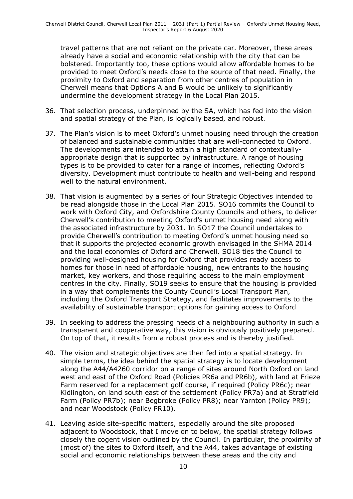travel patterns that are not reliant on the private car. Moreover, these areas already have a social and economic relationship with the city that can be bolstered. Importantly too, these options would allow affordable homes to be provided to meet Oxford's needs close to the source of that need. Finally, the proximity to Oxford and separation from other centres of population in Cherwell means that Options A and B would be unlikely to significantly undermine the development strategy in the Local Plan 2015.

- 36. That selection process, underpinned by the SA, which has fed into the vision and spatial strategy of the Plan, is logically based, and robust.
- 37. The Plan's vision is to meet Oxford's unmet housing need through the creation of balanced and sustainable communities that are well-connected to Oxford. The developments are intended to attain a high standard of contextuallyappropriate design that is supported by infrastructure. A range of housing types is to be provided to cater for a range of incomes, reflecting Oxford's diversity. Development must contribute to health and well-being and respond well to the natural environment.
- 38. That vision is augmented by a series of four Strategic Objectives intended to be read alongside those in the Local Plan 2015. SO16 commits the Council to work with Oxford City, and Oxfordshire County Councils and others, to deliver Cherwell's contribution to meeting Oxford's unmet housing need along with the associated infrastructure by 2031. In SO17 the Council undertakes to provide Cherwell's contribution to meeting Oxford's unmet housing need so that it supports the projected economic growth envisaged in the SHMA 2014 and the local economies of Oxford and Cherwell. SO18 ties the Council to providing well-designed housing for Oxford that provides ready access to homes for those in need of affordable housing, new entrants to the housing market, key workers, and those requiring access to the main employment centres in the city. Finally, SO19 seeks to ensure that the housing is provided in a way that complements the County Council's Local Transport Plan, including the Oxford Transport Strategy, and facilitates improvements to the availability of sustainable transport options for gaining access to Oxford
- 39. In seeking to address the pressing needs of a neighbouring authority in such a transparent and cooperative way, this vision is obviously positively prepared. On top of that, it results from a robust process and is thereby justified.
- 40. The vision and strategic objectives are then fed into a spatial strategy. In simple terms, the idea behind the spatial strategy is to locate development along the A44/A4260 corridor on a range of sites around North Oxford on land west and east of the Oxford Road (Policies PR6a and PR6b), with land at Frieze Farm reserved for a replacement golf course, if required (Policy PR6c); near Kidlington, on land south east of the settlement (Policy PR7a) and at Stratfield Farm (Policy PR7b); near Begbroke (Policy PR8); near Yarnton (Policy PR9); and near Woodstock (Policy PR10).
- 41. Leaving aside site-specific matters, especially around the site proposed adjacent to Woodstock, that I move on to below, the spatial strategy follows closely the cogent vision outlined by the Council. In particular, the proximity of (most of) the sites to Oxford itself, and the A44, takes advantage of existing social and economic relationships between these areas and the city and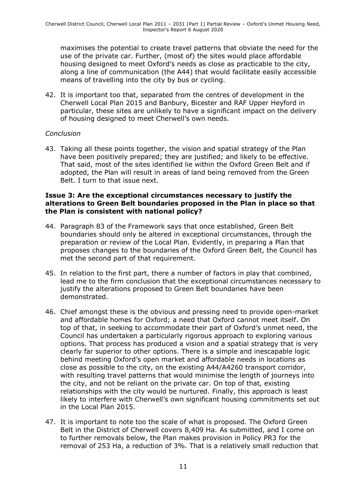maximises the potential to create travel patterns that obviate the need for the use of the private car. Further, (most of) the sites would place affordable housing designed to meet Oxford's needs as close as practicable to the city, along a line of communication (the A44) that would facilitate easily accessible means of travelling into the city by bus or cycling.

42. It is important too that, separated from the centres of development in the Cherwell Local Plan 2015 and Banbury, Bicester and RAF Upper Heyford in particular, these sites are unlikely to have a significant impact on the delivery of housing designed to meet Cherwell's own needs.

#### *Conclusion*

43. Taking all these points together, the vision and spatial strategy of the Plan have been positively prepared; they are justified; and likely to be effective. That said, most of the sites identified lie within the Oxford Green Belt and if adopted, the Plan will result in areas of land being removed from the Green Belt. I turn to that issue next.

#### **Issue 3: Are the exceptional circumstances necessary to justify the alterations to Green Belt boundaries proposed in the Plan in place so that the Plan is consistent with national policy?**

- 44. Paragraph 83 of the Framework says that once established, Green Belt boundaries should only be altered in exceptional circumstances, through the preparation or review of the Local Plan. Evidently, in preparing a Plan that proposes changes to the boundaries of the Oxford Green Belt, the Council has met the second part of that requirement.
- 45. In relation to the first part, there a number of factors in play that combined, lead me to the firm conclusion that the exceptional circumstances necessary to justify the alterations proposed to Green Belt boundaries have been demonstrated.
- 46. Chief amongst these is the obvious and pressing need to provide open-market and affordable homes for Oxford; a need that Oxford cannot meet itself. On top of that, in seeking to accommodate their part of Oxford's unmet need, the Council has undertaken a particularly rigorous approach to exploring various options. That process has produced a vision and a spatial strategy that is very clearly far superior to other options. There is a simple and inescapable logic behind meeting Oxford's open market and affordable needs in locations as close as possible to the city, on the existing A44/A4260 transport corridor, with resulting travel patterns that would minimise the length of journeys into the city, and not be reliant on the private car. On top of that, existing relationships with the city would be nurtured. Finally, this approach is least likely to interfere with Cherwell's own significant housing commitments set out in the Local Plan 2015.
- 47. It is important to note too the scale of what is proposed. The Oxford Green Belt in the District of Cherwell covers 8,409 Ha. As submitted, and I come on to further removals below, the Plan makes provision in Policy PR3 for the removal of 253 Ha, a reduction of 3%. That is a relatively small reduction that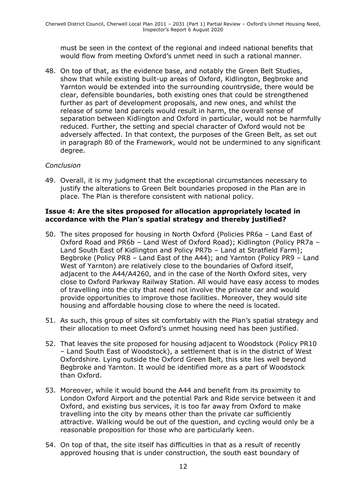must be seen in the context of the regional and indeed national benefits that would flow from meeting Oxford's unmet need in such a rational manner.

48. On top of that, as the evidence base, and notably the Green Belt Studies, show that while existing built-up areas of Oxford, Kidlington, Begbroke and Yarnton would be extended into the surrounding countryside, there would be clear, defensible boundaries, both existing ones that could be strengthened further as part of development proposals, and new ones, and whilst the release of some land parcels would result in harm, the overall sense of separation between Kidlington and Oxford in particular, would not be harmfully reduced. Further, the setting and special character of Oxford would not be adversely affected. In that context, the purposes of the Green Belt, as set out in paragraph 80 of the Framework, would not be undermined to any significant degree.

#### *Conclusion*

49. Overall, it is my judgment that the exceptional circumstances necessary to justify the alterations to Green Belt boundaries proposed in the Plan are in place. The Plan is therefore consistent with national policy.

#### **Issue 4: Are the sites proposed for allocation appropriately located in accordance with the Plan's spatial strategy and thereby justified?**

- 50. The sites proposed for housing in North Oxford (Policies PR6a Land East of Oxford Road and PR6b – Land West of Oxford Road); Kidlington (Policy PR7a – Land South East of Kidlington and Policy PR7b – Land at Stratfield Farm); Begbroke (Policy PR8 – Land East of the A44); and Yarnton (Policy PR9 – Land West of Yarnton) are relatively close to the boundaries of Oxford itself, adjacent to the A44/A4260, and in the case of the North Oxford sites, very close to Oxford Parkway Railway Station. All would have easy access to modes of travelling into the city that need not involve the private car and would provide opportunities to improve those facilities. Moreover, they would site housing and affordable housing close to where the need is located.
- 51. As such, this group of sites sit comfortably with the Plan's spatial strategy and their allocation to meet Oxford's unmet housing need has been justified.
- 52. That leaves the site proposed for housing adjacent to Woodstock (Policy PR10 – Land South East of Woodstock), a settlement that is in the district of West Oxfordshire. Lying outside the Oxford Green Belt, this site lies well beyond Begbroke and Yarnton. It would be identified more as a part of Woodstock than Oxford.
- 53. Moreover, while it would bound the A44 and benefit from its proximity to London Oxford Airport and the potential Park and Ride service between it and Oxford, and existing bus services, it is too far away from Oxford to make travelling into the city by means other than the private car sufficiently attractive. Walking would be out of the question, and cycling would only be a reasonable proposition for those who are particularly keen.
- 54. On top of that, the site itself has difficulties in that as a result of recently approved housing that is under construction, the south east boundary of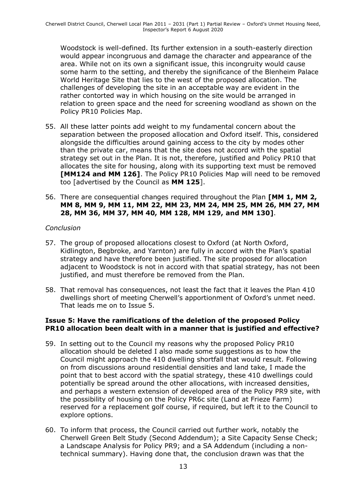Woodstock is well-defined. Its further extension in a south-easterly direction would appear incongruous and damage the character and appearance of the area. While not on its own a significant issue, this incongruity would cause some harm to the setting, and thereby the significance of the Blenheim Palace World Heritage Site that lies to the west of the proposed allocation. The challenges of developing the site in an acceptable way are evident in the rather contorted way in which housing on the site would be arranged in relation to green space and the need for screening woodland as shown on the Policy PR10 Policies Map.

- 55. All these latter points add weight to my fundamental concern about the separation between the proposed allocation and Oxford itself. This, considered alongside the difficulties around gaining access to the city by modes other than the private car, means that the site does not accord with the spatial strategy set out in the Plan. It is not, therefore, justified and Policy PR10 that allocates the site for housing, along with its supporting text must be removed **[MM124 and MM 126]**. The Policy PR10 Policies Map will need to be removed too [advertised by the Council as **MM 125**].
- 56. There are consequential changes required throughout the Plan **[MM 1, MM 2, MM 8, MM 9, MM 11, MM 22, MM 23, MM 24, MM 25, MM 26, MM 27, MM 28, MM 36, MM 37, MM 40, MM 128, MM 129, and MM 130]**.

#### *Conclusion*

- 57. The group of proposed allocations closest to Oxford (at North Oxford, Kidlington, Begbroke, and Yarnton) are fully in accord with the Plan's spatial strategy and have therefore been justified. The site proposed for allocation adjacent to Woodstock is not in accord with that spatial strategy, has not been justified, and must therefore be removed from the Plan.
- 58. That removal has consequences, not least the fact that it leaves the Plan 410 dwellings short of meeting Cherwell's apportionment of Oxford's unmet need. That leads me on to Issue 5.

#### **Issue 5: Have the ramifications of the deletion of the proposed Policy PR10 allocation been dealt with in a manner that is justified and effective?**

- 59. In setting out to the Council my reasons why the proposed Policy PR10 allocation should be deleted I also made some suggestions as to how the Council might approach the 410 dwelling shortfall that would result. Following on from discussions around residential densities and land take, I made the point that to best accord with the spatial strategy, these 410 dwellings could potentially be spread around the other allocations, with increased densities, and perhaps a western extension of developed area of the Policy PR9 site, with the possibility of housing on the Policy PR6c site (Land at Frieze Farm) reserved for a replacement golf course, if required, but left it to the Council to explore options.
- 60. To inform that process, the Council carried out further work, notably the Cherwell Green Belt Study (Second Addendum); a Site Capacity Sense Check; a Landscape Analysis for Policy PR9; and a SA Addendum (including a nontechnical summary). Having done that, the conclusion drawn was that the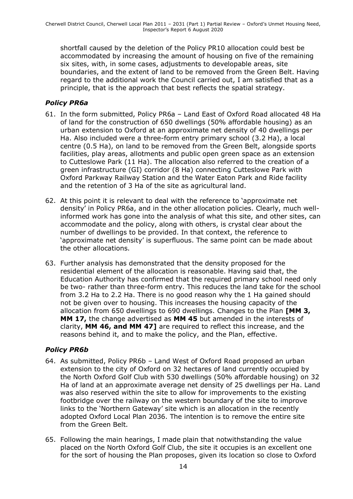shortfall caused by the deletion of the Policy PR10 allocation could best be accommodated by increasing the amount of housing on five of the remaining six sites, with, in some cases, adjustments to developable areas, site boundaries, and the extent of land to be removed from the Green Belt. Having regard to the additional work the Council carried out, I am satisfied that as a principle, that is the approach that best reflects the spatial strategy.

### *Policy PR6a*

- 61. In the form submitted, Policy PR6a Land East of Oxford Road allocated 48 Ha of land for the construction of 650 dwellings (50% affordable housing) as an urban extension to Oxford at an approximate net density of 40 dwellings per Ha. Also included were a three-form entry primary school (3.2 Ha), a local centre (0.5 Ha), on land to be removed from the Green Belt, alongside sports facilities, play areas, allotments and public open green space as an extension to Cutteslowe Park (11 Ha). The allocation also referred to the creation of a green infrastructure (GI) corridor (8 Ha) connecting Cutteslowe Park with Oxford Parkway Railway Station and the Water Eaton Park and Ride facility and the retention of 3 Ha of the site as agricultural land.
- 62. At this point it is relevant to deal with the reference to 'approximate net density' in Policy PR6a, and in the other allocation policies. Clearly, much wellinformed work has gone into the analysis of what this site, and other sites, can accommodate and the policy, along with others, is crystal clear about the number of dwellings to be provided. In that context, the reference to 'approximate net density' is superfluous. The same point can be made about the other allocations.
- 63. Further analysis has demonstrated that the density proposed for the residential element of the allocation is reasonable. Having said that, the Education Authority has confirmed that the required primary school need only be two- rather than three-form entry. This reduces the land take for the school from 3.2 Ha to 2.2 Ha. There is no good reason why the 1 Ha gained should not be given over to housing. This increases the housing capacity of the allocation from 650 dwellings to 690 dwellings. Changes to the Plan **[MM 3, MM 17,** the change advertised as **MM 45** but amended in the interests of clarity, **MM 46, and MM 47]** are required to reflect this increase, and the reasons behind it, and to make the policy, and the Plan, effective.

### *Policy PR6b*

- 64. As submitted, Policy PR6b Land West of Oxford Road proposed an urban extension to the city of Oxford on 32 hectares of land currently occupied by the North Oxford Golf Club with 530 dwellings (50% affordable housing) on 32 Ha of land at an approximate average net density of 25 dwellings per Ha. Land was also reserved within the site to allow for improvements to the existing footbridge over the railway on the western boundary of the site to improve links to the 'Northern Gateway' site which is an allocation in the recently adopted Oxford Local Plan 2036. The intention is to remove the entire site from the Green Belt.
- 65. Following the main hearings, I made plain that notwithstanding the value placed on the North Oxford Golf Club, the site it occupies is an excellent one for the sort of housing the Plan proposes, given its location so close to Oxford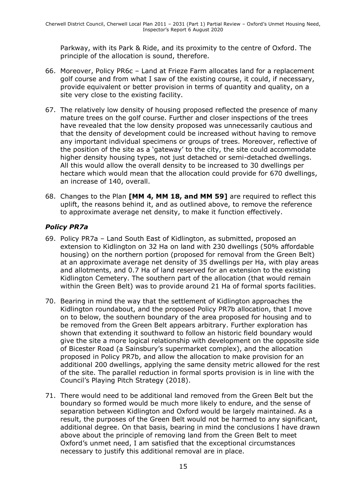Parkway, with its Park & Ride, and its proximity to the centre of Oxford. The principle of the allocation is sound, therefore.

- 66. Moreover, Policy PR6c Land at Frieze Farm allocates land for a replacement golf course and from what I saw of the existing course, it could, if necessary, provide equivalent or better provision in terms of quantity and quality, on a site very close to the existing facility.
- 67. The relatively low density of housing proposed reflected the presence of many mature trees on the golf course. Further and closer inspections of the trees have revealed that the low density proposed was unnecessarily cautious and that the density of development could be increased without having to remove any important individual specimens or groups of trees. Moreover, reflective of the position of the site as a 'gateway' to the city, the site could accommodate higher density housing types, not just detached or semi-detached dwellings. All this would allow the overall density to be increased to 30 dwellings per hectare which would mean that the allocation could provide for 670 dwellings, an increase of 140, overall.
- 68. Changes to the Plan **[MM 4, MM 18, and MM 59]** are required to reflect this uplift, the reasons behind it, and as outlined above, to remove the reference to approximate average net density, to make it function effectively.

### *Policy PR7a*

- 69. Policy PR7a Land South East of Kidlington, as submitted, proposed an extension to Kidlington on 32 Ha on land with 230 dwellings (50% affordable housing) on the northern portion (proposed for removal from the Green Belt) at an approximate average net density of 35 dwellings per Ha, with play areas and allotments, and 0.7 Ha of land reserved for an extension to the existing Kidlington Cemetery. The southern part of the allocation (that would remain within the Green Belt) was to provide around 21 Ha of formal sports facilities.
- 70. Bearing in mind the way that the settlement of Kidlington approaches the Kidlington roundabout, and the proposed Policy PR7b allocation, that I move on to below, the southern boundary of the area proposed for housing and to be removed from the Green Belt appears arbitrary. Further exploration has shown that extending it southward to follow an historic field boundary would give the site a more logical relationship with development on the opposite side of Bicester Road (a Sainsbury's supermarket complex), and the allocation proposed in Policy PR7b, and allow the allocation to make provision for an additional 200 dwellings, applying the same density metric allowed for the rest of the site. The parallel reduction in formal sports provision is in line with the Council's Playing Pitch Strategy (2018).
- 71. There would need to be additional land removed from the Green Belt but the boundary so formed would be much more likely to endure, and the sense of separation between Kidlington and Oxford would be largely maintained. As a result, the purposes of the Green Belt would not be harmed to any significant, additional degree. On that basis, bearing in mind the conclusions I have drawn above about the principle of removing land from the Green Belt to meet Oxford's unmet need, I am satisfied that the exceptional circumstances necessary to justify this additional removal are in place.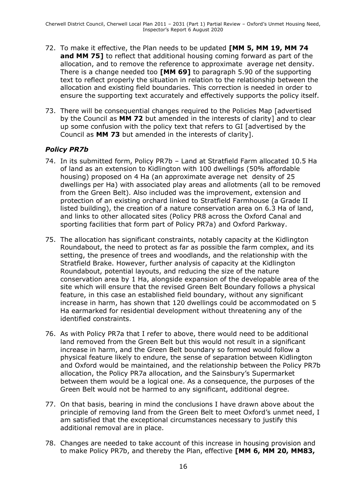- 72. To make it effective, the Plan needs to be updated **[MM 5, MM 19, MM 74 and MM 75]** to reflect that additional housing coming forward as part of the allocation, and to remove the reference to approximate average net density. There is a change needed too **[MM 69]** to paragraph 5.90 of the supporting text to reflect properly the situation in relation to the relationship between the allocation and existing field boundaries. This correction is needed in order to ensure the supporting text accurately and effectively supports the policy itself.
- 73. There will be consequential changes required to the Policies Map [advertised by the Council as **MM 72** but amended in the interests of clarity] and to clear up some confusion with the policy text that refers to GI [advertised by the Council as **MM 73** but amended in the interests of clarity].

### *Policy PR7b*

- 74. In its submitted form, Policy PR7b Land at Stratfield Farm allocated 10.5 Ha of land as an extension to Kidlington with 100 dwellings (50% affordable housing) proposed on 4 Ha (an approximate average net density of 25 dwellings per Ha) with associated play areas and allotments (all to be removed from the Green Belt). Also included was the improvement, extension and protection of an existing orchard linked to Stratfield Farmhouse (a Grade II listed building), the creation of a nature conservation area on 6.3 Ha of land, and links to other allocated sites (Policy PR8 across the Oxford Canal and sporting facilities that form part of Policy PR7a) and Oxford Parkway.
- 75. The allocation has significant constraints, notably capacity at the Kidlington Roundabout, the need to protect as far as possible the farm complex, and its setting, the presence of trees and woodlands, and the relationship with the Stratfield Brake. However, further analysis of capacity at the Kidlington Roundabout, potential layouts, and reducing the size of the nature conservation area by 1 Ha, alongside expansion of the developable area of the site which will ensure that the revised Green Belt Boundary follows a physical feature, in this case an established field boundary, without any significant increase in harm, has shown that 120 dwellings could be accommodated on 5 Ha earmarked for residential development without threatening any of the identified constraints.
- 76. As with Policy PR7a that I refer to above, there would need to be additional land removed from the Green Belt but this would not result in a significant increase in harm, and the Green Belt boundary so formed would follow a physical feature likely to endure, the sense of separation between Kidlington and Oxford would be maintained, and the relationship between the Policy PR7b allocation, the Policy PR7a allocation, and the Sainsbury's Supermarket between them would be a logical one. As a consequence, the purposes of the Green Belt would not be harmed to any significant, additional degree.
- 77. On that basis, bearing in mind the conclusions I have drawn above about the principle of removing land from the Green Belt to meet Oxford's unmet need, I am satisfied that the exceptional circumstances necessary to justify this additional removal are in place.
- 78. Changes are needed to take account of this increase in housing provision and to make Policy PR7b, and thereby the Plan, effective **[MM 6, MM 20, MM83,**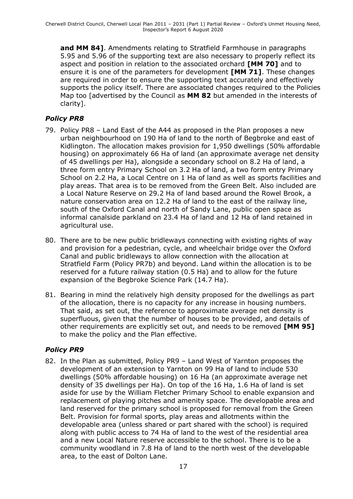**and MM 84]**. Amendments relating to Stratfield Farmhouse in paragraphs 5.95 and 5.96 of the supporting text are also necessary to properly reflect its aspect and position in relation to the associated orchard **[MM 70]** and to ensure it is one of the parameters for development **[MM 71]**. These changes are required in order to ensure the supporting text accurately and effectively supports the policy itself. There are associated changes required to the Policies Map too [advertised by the Council as **MM 82** but amended in the interests of clarity].

### *Policy PR8*

- 79. Policy PR8 Land East of the A44 as proposed in the Plan proposes a new urban neighbourhood on 190 Ha of land to the north of Begbroke and east of Kidlington. The allocation makes provision for 1,950 dwellings (50% affordable housing) on approximately 66 Ha of land (an approximate average net density of 45 dwellings per Ha), alongside a secondary school on 8.2 Ha of land, a three form entry Primary School on 3.2 Ha of land, a two form entry Primary School on 2.2 Ha, a Local Centre on 1 Ha of land as well as sports facilities and play areas. That area is to be removed from the Green Belt. Also included are a Local Nature Reserve on 29.2 Ha of land based around the Rowel Brook, a nature conservation area on 12.2 Ha of land to the east of the railway line, south of the Oxford Canal and north of Sandy Lane, public open space as informal canalside parkland on 23.4 Ha of land and 12 Ha of land retained in agricultural use.
- 80. There are to be new public bridleways connecting with existing rights of way and provision for a pedestrian, cycle, and wheelchair bridge over the Oxford Canal and public bridleways to allow connection with the allocation at Stratfield Farm (Policy PR7b) and beyond. Land within the allocation is to be reserved for a future railway station (0.5 Ha) and to allow for the future expansion of the Begbroke Science Park (14.7 Ha).
- 81. Bearing in mind the relatively high density proposed for the dwellings as part of the allocation, there is no capacity for any increase in housing numbers. That said, as set out, the reference to approximate average net density is superfluous, given that the number of houses to be provided, and details of other requirements are explicitly set out, and needs to be removed **[MM 95]** to make the policy and the Plan effective.

### *Policy PR9*

82. In the Plan as submitted, Policy PR9 – Land West of Yarnton proposes the development of an extension to Yarnton on 99 Ha of land to include 530 dwellings (50% affordable housing) on 16 Ha (an approximate average net density of 35 dwellings per Ha). On top of the 16 Ha, 1.6 Ha of land is set aside for use by the William Fletcher Primary School to enable expansion and replacement of playing pitches and amenity space. The developable area and land reserved for the primary school is proposed for removal from the Green Belt. Provision for formal sports, play areas and allotments within the developable area (unless shared or part shared with the school) is required along with public access to 74 Ha of land to the west of the residential area and a new Local Nature reserve accessible to the school. There is to be a community woodland in 7.8 Ha of land to the north west of the developable area, to the east of Dolton Lane.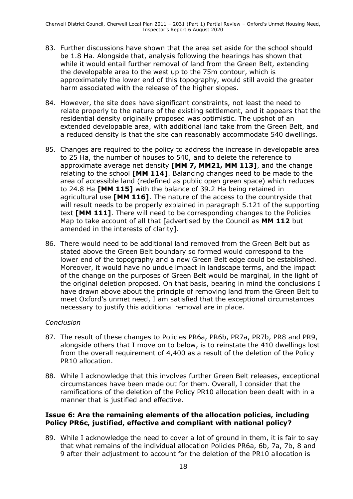- 83. Further discussions have shown that the area set aside for the school should be 1.8 Ha. Alongside that, analysis following the hearings has shown that while it would entail further removal of land from the Green Belt, extending the developable area to the west up to the 75m contour, which is approximately the lower end of this topography, would still avoid the greater harm associated with the release of the higher slopes.
- 84. However, the site does have significant constraints, not least the need to relate properly to the nature of the existing settlement, and it appears that the residential density originally proposed was optimistic. The upshot of an extended developable area, with additional land take from the Green Belt, and a reduced density is that the site can reasonably accommodate 540 dwellings.
- 85. Changes are required to the policy to address the increase in developable area to 25 Ha, the number of houses to 540, and to delete the reference to approximate average net density **[MM 7, MM21, MM 113]**, and the change relating to the school **[MM 114]**. Balancing changes need to be made to the area of accessible land (redefined as public open green space) which reduces to 24.8 Ha **[MM 115]** with the balance of 39.2 Ha being retained in agricultural use **[MM 116]**. The nature of the access to the countryside that will result needs to be properly explained in paragraph 5.121 of the supporting text **[MM 111]**. There will need to be corresponding changes to the Policies Map to take account of all that [advertised by the Council as **MM 112** but amended in the interests of clarity].
- 86. There would need to be additional land removed from the Green Belt but as stated above the Green Belt boundary so formed would correspond to the lower end of the topography and a new Green Belt edge could be established. Moreover, it would have no undue impact in landscape terms, and the impact of the change on the purposes of Green Belt would be marginal, in the light of the original deletion proposed. On that basis, bearing in mind the conclusions I have drawn above about the principle of removing land from the Green Belt to meet Oxford's unmet need, I am satisfied that the exceptional circumstances necessary to justify this additional removal are in place.

### *Conclusion*

- 87. The result of these changes to Policies PR6a, PR6b, PR7a, PR7b, PR8 and PR9, alongside others that I move on to below, is to reinstate the 410 dwellings lost from the overall requirement of 4,400 as a result of the deletion of the Policy PR10 allocation.
- 88. While I acknowledge that this involves further Green Belt releases, exceptional circumstances have been made out for them. Overall, I consider that the ramifications of the deletion of the Policy PR10 allocation been dealt with in a manner that is justified and effective.

#### **Issue 6: Are the remaining elements of the allocation policies, including Policy PR6c, justified, effective and compliant with national policy?**

89. While I acknowledge the need to cover a lot of ground in them, it is fair to say that what remains of the individual allocation Policies PR6a, 6b, 7a, 7b, 8 and 9 after their adjustment to account for the deletion of the PR10 allocation is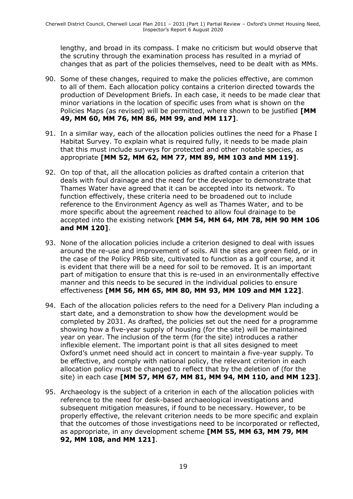lengthy, and broad in its compass. I make no criticism but would observe that the scrutiny through the examination process has resulted in a myriad of changes that as part of the policies themselves, need to be dealt with as MMs.

- 90. Some of these changes, required to make the policies effective, are common to all of them. Each allocation policy contains a criterion directed towards the production of Development Briefs. In each case, it needs to be made clear that minor variations in the location of specific uses from what is shown on the Policies Maps (as revised) will be permitted, where shown to be justified **[MM 49, MM 60, MM 76, MM 86, MM 99, and MM 117]**.
- 91. In a similar way, each of the allocation policies outlines the need for a Phase I Habitat Survey. To explain what is required fully, it needs to be made plain that this must include surveys for protected and other notable species, as appropriate **[MM 52, MM 62, MM 77, MM 89, MM 103 and MM 119]**.
- 92. On top of that, all the allocation policies as drafted contain a criterion that deals with foul drainage and the need for the developer to demonstrate that Thames Water have agreed that it can be accepted into its network. To function effectively, these criteria need to be broadened out to include reference to the Environment Agency as well as Thames Water, and to be more specific about the agreement reached to allow foul drainage to be accepted into the existing network **[MM 54, MM 64, MM 78, MM 90 MM 106 and MM 120]**.
- 93. None of the allocation policies include a criterion designed to deal with issues around the re-use and improvement of soils. All the sites are green field, or in the case of the Policy PR6b site, cultivated to function as a golf course, and it is evident that there will be a need for soil to be removed. It is an important part of mitigation to ensure that this is re-used in an environmentally effective manner and this needs to be secured in the individual policies to ensure effectiveness **[MM 56, MM 65, MM 80, MM 93, MM 109 and MM 122]**.
- 94. Each of the allocation policies refers to the need for a Delivery Plan including a start date, and a demonstration to show how the development would be completed by 2031. As drafted, the policies set out the need for a programme showing how a five-year supply of housing (for the site) will be maintained year on year. The inclusion of the term (for the site) introduces a rather inflexible element. The important point is that all sites designed to meet Oxford's unmet need should act in concert to maintain a five-year supply. To be effective, and comply with national policy, the relevant criterion in each allocation policy must be changed to reflect that by the deletion of (for the site) in each case **[MM 57, MM 67, MM 81, MM 94, MM 110, and MM 123]**.
- 95. Archaeology is the subject of a criterion in each of the allocation policies with reference to the need for desk-based archaeological investigations and subsequent mitigation measures, if found to be necessary. However, to be properly effective, the relevant criterion needs to be more specific and explain that the outcomes of those investigations need to be incorporated or reflected, as appropriate, in any development scheme **[MM 55, MM 63, MM 79, MM 92, MM 108, and MM 121]**.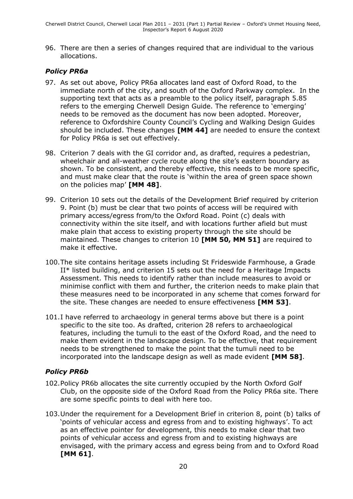96. There are then a series of changes required that are individual to the various allocations.

### *Policy PR6a*

- 97. As set out above, Policy PR6a allocates land east of Oxford Road, to the immediate north of the city, and south of the Oxford Parkway complex. In the supporting text that acts as a preamble to the policy itself, paragraph 5.85 refers to the emerging Cherwell Design Guide. The reference to 'emerging' needs to be removed as the document has now been adopted. Moreover, reference to Oxfordshire County Council's Cycling and Walking Design Guides should be included. These changes **[MM 44]** are needed to ensure the context for Policy PR6a is set out effectively.
- 98. Criterion 7 deals with the GI corridor and, as drafted, requires a pedestrian, wheelchair and all-weather cycle route along the site's eastern boundary as shown. To be consistent, and thereby effective, this needs to be more specific, and must make clear that the route is 'within the area of green space shown on the policies map' **[MM 48]**.
- 99. Criterion 10 sets out the details of the Development Brief required by criterion 9. Point (b) must be clear that two points of access will be required with primary access/egress from/to the Oxford Road. Point (c) deals with connectivity within the site itself, and with locations further afield but must make plain that access to existing property through the site should be maintained. These changes to criterion 10 **[MM 50, MM 51]** are required to make it effective.
- 100.The site contains heritage assets including St Frideswide Farmhouse, a Grade II\* listed building, and criterion 15 sets out the need for a Heritage Impacts Assessment. This needs to identify rather than include measures to avoid or minimise conflict with them and further, the criterion needs to make plain that these measures need to be incorporated in any scheme that comes forward for the site. These changes are needed to ensure effectiveness **[MM 53]**.
- 101.I have referred to archaeology in general terms above but there is a point specific to the site too. As drafted, criterion 28 refers to archaeological features, including the tumuli to the east of the Oxford Road, and the need to make them evident in the landscape design. To be effective, that requirement needs to be strengthened to make the point that the tumuli need to be incorporated into the landscape design as well as made evident **[MM 58]**.

### *Policy PR6b*

- 102.Policy PR6b allocates the site currently occupied by the North Oxford Golf Club, on the opposite side of the Oxford Road from the Policy PR6a site. There are some specific points to deal with here too.
- 103.Under the requirement for a Development Brief in criterion 8, point (b) talks of 'points of vehicular access and egress from and to existing highways'. To act as an effective pointer for development, this needs to make clear that two points of vehicular access and egress from and to existing highways are envisaged, with the primary access and egress being from and to Oxford Road **[MM 61]**.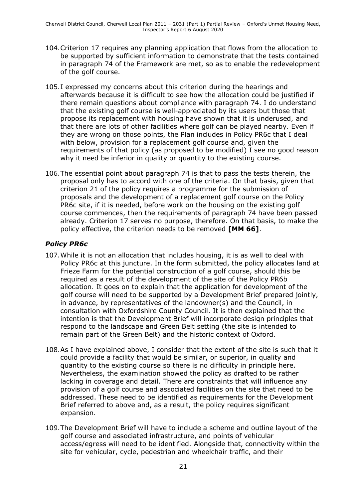- 104.Criterion 17 requires any planning application that flows from the allocation to be supported by sufficient information to demonstrate that the tests contained in paragraph 74 of the Framework are met, so as to enable the redevelopment of the golf course.
- 105.I expressed my concerns about this criterion during the hearings and afterwards because it is difficult to see how the allocation could be justified if there remain questions about compliance with paragraph 74. I do understand that the existing golf course is well-appreciated by its users but those that propose its replacement with housing have shown that it is underused, and that there are lots of other facilities where golf can be played nearby. Even if they are wrong on those points, the Plan includes in Policy PR6c that I deal with below, provision for a replacement golf course and, given the requirements of that policy (as proposed to be modified) I see no good reason why it need be inferior in quality or quantity to the existing course.
- 106.The essential point about paragraph 74 is that to pass the tests therein, the proposal only has to accord with one of the criteria. On that basis, given that criterion 21 of the policy requires a programme for the submission of proposals and the development of a replacement golf course on the Policy PR6c site, if it is needed, before work on the housing on the existing golf course commences, then the requirements of paragraph 74 have been passed already. Criterion 17 serves no purpose, therefore. On that basis, to make the policy effective, the criterion needs to be removed **[MM 66]**.

### *Policy PR6c*

- 107.While it is not an allocation that includes housing, it is as well to deal with Policy PR6c at this juncture. In the form submitted, the policy allocates land at Frieze Farm for the potential construction of a golf course, should this be required as a result of the development of the site of the Policy PR6b allocation. It goes on to explain that the application for development of the golf course will need to be supported by a Development Brief prepared jointly, in advance, by representatives of the landowner(s) and the Council, in consultation with Oxfordshire County Council. It is then explained that the intention is that the Development Brief will incorporate design principles that respond to the landscape and Green Belt setting (the site is intended to remain part of the Green Belt) and the historic context of Oxford.
- 108.As I have explained above, I consider that the extent of the site is such that it could provide a facility that would be similar, or superior, in quality and quantity to the existing course so there is no difficulty in principle here. Nevertheless, the examination showed the policy as drafted to be rather lacking in coverage and detail. There are constraints that will influence any provision of a golf course and associated facilities on the site that need to be addressed. These need to be identified as requirements for the Development Brief referred to above and, as a result, the policy requires significant expansion.
- 109.The Development Brief will have to include a scheme and outline layout of the golf course and associated infrastructure, and points of vehicular access/egress will need to be identified. Alongside that, connectivity within the site for vehicular, cycle, pedestrian and wheelchair traffic, and their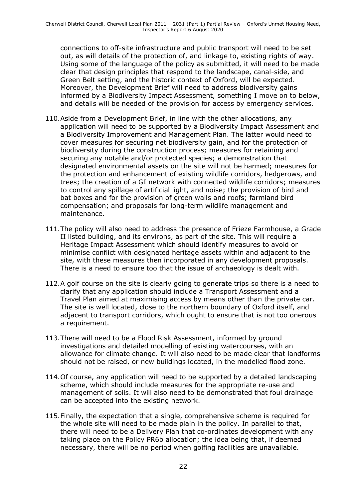connections to off-site infrastructure and public transport will need to be set out, as will details of the protection of, and linkage to, existing rights of way. Using some of the language of the policy as submitted, it will need to be made clear that design principles that respond to the landscape, canal-side, and Green Belt setting, and the historic context of Oxford, will be expected. Moreover, the Development Brief will need to address biodiversity gains informed by a Biodiversity Impact Assessment, something I move on to below, and details will be needed of the provision for access by emergency services.

- 110.Aside from a Development Brief, in line with the other allocations, any application will need to be supported by a Biodiversity Impact Assessment and a Biodiversity Improvement and Management Plan. The latter would need to cover measures for securing net biodiversity gain, and for the protection of biodiversity during the construction process; measures for retaining and securing any notable and/or protected species; a demonstration that designated environmental assets on the site will not be harmed; measures for the protection and enhancement of existing wildlife corridors, hedgerows, and trees; the creation of a GI network with connected wildlife corridors; measures to control any spillage of artificial light, and noise; the provision of bird and bat boxes and for the provision of green walls and roofs; farmland bird compensation; and proposals for long-term wildlife management and maintenance.
- 111.The policy will also need to address the presence of Frieze Farmhouse, a Grade II listed building, and its environs, as part of the site. This will require a Heritage Impact Assessment which should identify measures to avoid or minimise conflict with designated heritage assets within and adjacent to the site, with these measures then incorporated in any development proposals. There is a need to ensure too that the issue of archaeology is dealt with.
- 112.A golf course on the site is clearly going to generate trips so there is a need to clarify that any application should include a Transport Assessment and a Travel Plan aimed at maximising access by means other than the private car. The site is well located, close to the northern boundary of Oxford itself, and adjacent to transport corridors, which ought to ensure that is not too onerous a requirement.
- 113.There will need to be a Flood Risk Assessment, informed by ground investigations and detailed modelling of existing watercourses, with an allowance for climate change. It will also need to be made clear that landforms should not be raised, or new buildings located, in the modelled flood zone.
- 114.Of course, any application will need to be supported by a detailed landscaping scheme, which should include measures for the appropriate re-use and management of soils. It will also need to be demonstrated that foul drainage can be accepted into the existing network.
- 115.Finally, the expectation that a single, comprehensive scheme is required for the whole site will need to be made plain in the policy. In parallel to that, there will need to be a Delivery Plan that co-ordinates development with any taking place on the Policy PR6b allocation; the idea being that, if deemed necessary, there will be no period when golfing facilities are unavailable.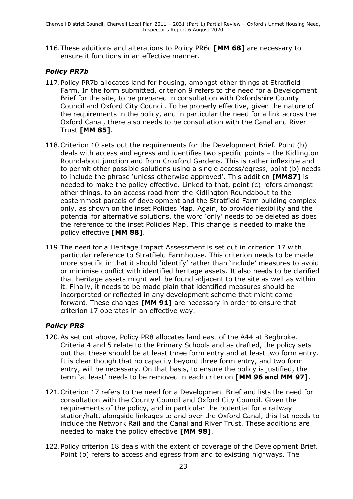116.These additions and alterations to Policy PR6c **[MM 68]** are necessary to ensure it functions in an effective manner.

### *Policy PR7b*

- 117.Policy PR7b allocates land for housing, amongst other things at Stratfield Farm. In the form submitted, criterion 9 refers to the need for a Development Brief for the site, to be prepared in consultation with Oxfordshire County Council and Oxford City Council. To be properly effective, given the nature of the requirements in the policy, and in particular the need for a link across the Oxford Canal, there also needs to be consultation with the Canal and River Trust **[MM 85]**.
- 118.Criterion 10 sets out the requirements for the Development Brief. Point (b) deals with access and egress and identifies two specific points – the Kidlington Roundabout junction and from Croxford Gardens. This is rather inflexible and to permit other possible solutions using a single access/egress, point (b) needs to include the phrase 'unless otherwise approved'. This addition **[MM87]** is needed to make the policy effective. Linked to that, point (c) refers amongst other things, to an access road from the Kidlington Roundabout to the easternmost parcels of development and the Stratfield Farm building complex only, as shown on the inset Policies Map. Again, to provide flexibility and the potential for alternative solutions, the word 'only' needs to be deleted as does the reference to the inset Policies Map. This change is needed to make the policy effective **[MM 88]**.
- 119.The need for a Heritage Impact Assessment is set out in criterion 17 with particular reference to Stratfield Farmhouse. This criterion needs to be made more specific in that it should 'identify' rather than 'include' measures to avoid or minimise conflict with identified heritage assets. It also needs to be clarified that heritage assets might well be found adjacent to the site as well as within it. Finally, it needs to be made plain that identified measures should be incorporated or reflected in any development scheme that might come forward. These changes **[MM 91]** are necessary in order to ensure that criterion 17 operates in an effective way.

### *Policy PR8*

- 120.As set out above, Policy PR8 allocates land east of the A44 at Begbroke. Criteria 4 and 5 relate to the Primary Schools and as drafted, the policy sets out that these should be at least three form entry and at least two form entry. It is clear though that no capacity beyond three form entry, and two form entry, will be necessary. On that basis, to ensure the policy is justified, the term 'at least' needs to be removed in each criterion **[MM 96 and MM 97]**.
- 121.Criterion 17 refers to the need for a Development Brief and lists the need for consultation with the County Council and Oxford City Council. Given the requirements of the policy, and in particular the potential for a railway station/halt, alongside linkages to and over the Oxford Canal, this list needs to include the Network Rail and the Canal and River Trust. These additions are needed to make the policy effective **[MM 98]**.
- 122.Policy criterion 18 deals with the extent of coverage of the Development Brief. Point (b) refers to access and egress from and to existing highways. The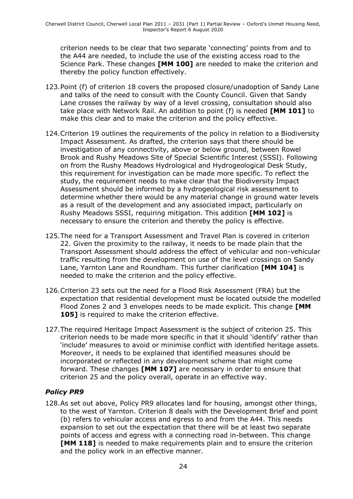criterion needs to be clear that two separate 'connecting' points from and to the A44 are needed, to include the use of the existing access road to the Science Park. These changes **[MM 100]** are needed to make the criterion and thereby the policy function effectively.

- 123.Point (f) of criterion 18 covers the proposed closure/unadoption of Sandy Lane and talks of the need to consult with the County Council. Given that Sandy Lane crosses the railway by way of a level crossing, consultation should also take place with Network Rail. An addition to point (f) is needed **[MM 101]** to make this clear and to make the criterion and the policy effective.
- 124.Criterion 19 outlines the requirements of the policy in relation to a Biodiversity Impact Assessment. As drafted, the criterion says that there should be investigation of any connectivity, above or below ground, between Rowel Brook and Rushy Meadows Site of Special Scientific Interest (SSSI). Following on from the Rushy Meadows Hydrological and Hydrogeological Desk Study, this requirement for investigation can be made more specific. To reflect the study, the requirement needs to make clear that the Biodiversity Impact Assessment should be informed by a hydrogeological risk assessment to determine whether there would be any material change in ground water levels as a result of the development and any associated impact, particularly on Rushy Meadows SSSI, requiring mitigation. This addition **[MM 102]** is necessary to ensure the criterion and thereby the policy is effective.
- 125.The need for a Transport Assessment and Travel Plan is covered in criterion 22. Given the proximity to the railway, it needs to be made plain that the Transport Assessment should address the effect of vehicular and non-vehicular traffic resulting from the development on use of the level crossings on Sandy Lane, Yarnton Lane and Roundham. This further clarification **[MM 104]** is needed to make the criterion and the policy effective.
- 126.Criterion 23 sets out the need for a Flood Risk Assessment (FRA) but the expectation that residential development must be located outside the modelled Flood Zones 2 and 3 envelopes needs to be made explicit. This change **[MM 105]** is required to make the criterion effective.
- 127.The required Heritage Impact Assessment is the subject of criterion 25. This criterion needs to be made more specific in that it should 'identify' rather than 'include' measures to avoid or minimise conflict with identified heritage assets. Moreover, it needs to be explained that identified measures should be incorporated or reflected in any development scheme that might come forward. These changes **[MM 107]** are necessary in order to ensure that criterion 25 and the policy overall, operate in an effective way.

### *Policy PR9*

128.As set out above, Policy PR9 allocates land for housing, amongst other things, to the west of Yarnton. Criterion 8 deals with the Development Brief and point (b) refers to vehicular access and egress to and from the A44. This needs expansion to set out the expectation that there will be at least two separate points of access and egress with a connecting road in-between. This change **[MM 118]** is needed to make requirements plain and to ensure the criterion and the policy work in an effective manner.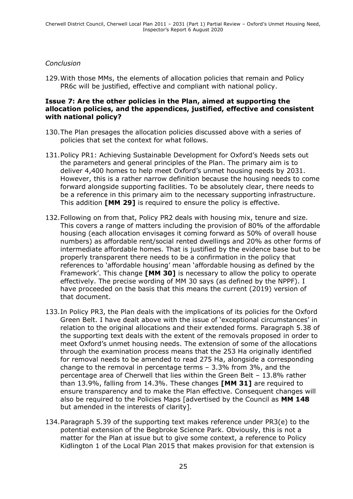#### *Conclusion*

129.With those MMs, the elements of allocation policies that remain and Policy PR6c will be justified, effective and compliant with national policy.

#### **Issue 7: Are the other policies in the Plan, aimed at supporting the allocation policies, and the appendices, justified, effective and consistent with national policy?**

- 130.The Plan presages the allocation policies discussed above with a series of policies that set the context for what follows.
- 131.Policy PR1: Achieving Sustainable Development for Oxford's Needs sets out the parameters and general principles of the Plan. The primary aim is to deliver 4,400 homes to help meet Oxford's unmet housing needs by 2031. However, this is a rather narrow definition because the housing needs to come forward alongside supporting facilities. To be absolutely clear, there needs to be a reference in this primary aim to the necessary supporting infrastructure. This addition **[MM 29]** is required to ensure the policy is effective.
- 132.Following on from that, Policy PR2 deals with housing mix, tenure and size. This covers a range of matters including the provision of 80% of the affordable housing (each allocation envisages it coming forward as 50% of overall house numbers) as affordable rent/social rented dwellings and 20% as other forms of intermediate affordable homes. That is justified by the evidence base but to be properly transparent there needs to be a confirmation in the policy that references to 'affordable housing' mean 'affordable housing as defined by the Framework'. This change **[MM 30]** is necessary to allow the policy to operate effectively. The precise wording of MM 30 says (as defined by the NPPF). I have proceeded on the basis that this means the current (2019) version of that document.
- 133.In Policy PR3, the Plan deals with the implications of its policies for the Oxford Green Belt. I have dealt above with the issue of 'exceptional circumstances' in relation to the original allocations and their extended forms. Paragraph 5.38 of the supporting text deals with the extent of the removals proposed in order to meet Oxford's unmet housing needs. The extension of some of the allocations through the examination process means that the 253 Ha originally identified for removal needs to be amended to read 275 Ha, alongside a corresponding change to the removal in percentage terms – 3.3% from 3%, and the percentage area of Cherwell that lies within the Green Belt – 13.8% rather than 13.9%, falling from 14.3%. These changes **[MM 31]** are required to ensure transparency and to make the Plan effective. Consequent changes will also be required to the Policies Maps [advertised by the Council as **MM 148** but amended in the interests of clarity].
- 134.Paragraph 5.39 of the supporting text makes reference under PR3(e) to the potential extension of the Begbroke Science Park. Obviously, this is not a matter for the Plan at issue but to give some context, a reference to Policy Kidlington 1 of the Local Plan 2015 that makes provision for that extension is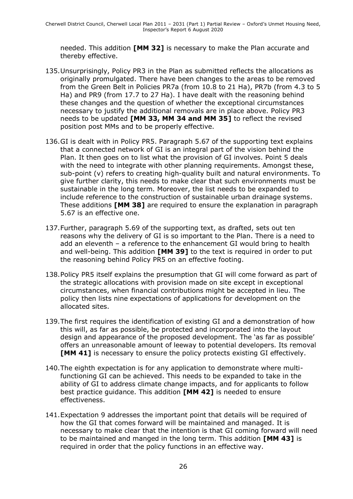needed. This addition **[MM 32]** is necessary to make the Plan accurate and thereby effective.

- 135.Unsurprisingly, Policy PR3 in the Plan as submitted reflects the allocations as originally promulgated. There have been changes to the areas to be removed from the Green Belt in Policies PR7a (from 10.8 to 21 Ha), PR7b (from 4.3 to 5 Ha) and PR9 (from 17.7 to 27 Ha). I have dealt with the reasoning behind these changes and the question of whether the exceptional circumstances necessary to justify the additional removals are in place above. Policy PR3 needs to be updated **[MM 33, MM 34 and MM 35]** to reflect the revised position post MMs and to be properly effective.
- 136.GI is dealt with in Policy PR5. Paragraph 5.67 of the supporting text explains that a connected network of GI is an integral part of the vision behind the Plan. It then goes on to list what the provision of GI involves. Point 5 deals with the need to integrate with other planning requirements. Amongst these, sub-point (v) refers to creating high-quality built and natural environments. To give further clarity, this needs to make clear that such environments must be sustainable in the long term. Moreover, the list needs to be expanded to include reference to the construction of sustainable urban drainage systems. These additions **[MM 38]** are required to ensure the explanation in paragraph 5.67 is an effective one.
- 137.Further, paragraph 5.69 of the supporting text, as drafted, sets out ten reasons why the delivery of GI is so important to the Plan. There is a need to add an eleventh – a reference to the enhancement GI would bring to health and well-being. This addition **[MM 39]** to the text is required in order to put the reasoning behind Policy PR5 on an effective footing.
- 138.Policy PR5 itself explains the presumption that GI will come forward as part of the strategic allocations with provision made on site except in exceptional circumstances, when financial contributions might be accepted in lieu. The policy then lists nine expectations of applications for development on the allocated sites.
- 139.The first requires the identification of existing GI and a demonstration of how this will, as far as possible, be protected and incorporated into the layout design and appearance of the proposed development. The 'as far as possible' offers an unreasonable amount of leeway to potential developers. Its removal **[MM 41]** is necessary to ensure the policy protects existing GI effectively.
- 140.The eighth expectation is for any application to demonstrate where multifunctioning GI can be achieved. This needs to be expanded to take in the ability of GI to address climate change impacts, and for applicants to follow best practice guidance. This addition **[MM 42]** is needed to ensure effectiveness.
- 141.Expectation 9 addresses the important point that details will be required of how the GI that comes forward will be maintained and managed. It is necessary to make clear that the intention is that GI coming forward will need to be maintained and manged in the long term. This addition **[MM 43]** is required in order that the policy functions in an effective way.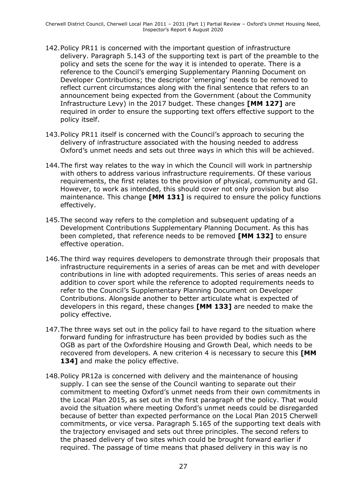- 142.Policy PR11 is concerned with the important question of infrastructure delivery. Paragraph 5.143 of the supporting text is part of the preamble to the policy and sets the scene for the way it is intended to operate. There is a reference to the Council's emerging Supplementary Planning Document on Developer Contributions; the descriptor 'emerging' needs to be removed to reflect current circumstances along with the final sentence that refers to an announcement being expected from the Government (about the Community Infrastructure Levy) in the 2017 budget. These changes **[MM 127]** are required in order to ensure the supporting text offers effective support to the policy itself.
- 143.Policy PR11 itself is concerned with the Council's approach to securing the delivery of infrastructure associated with the housing needed to address Oxford's unmet needs and sets out three ways in which this will be achieved.
- 144.The first way relates to the way in which the Council will work in partnership with others to address various infrastructure requirements. Of these various requirements, the first relates to the provision of physical, community and GI. However, to work as intended, this should cover not only provision but also maintenance. This change **[MM 131]** is required to ensure the policy functions effectively.
- 145.The second way refers to the completion and subsequent updating of a Development Contributions Supplementary Planning Document. As this has been completed, that reference needs to be removed **[MM 132]** to ensure effective operation.
- 146.The third way requires developers to demonstrate through their proposals that infrastructure requirements in a series of areas can be met and with developer contributions in line with adopted requirements. This series of areas needs an addition to cover sport while the reference to adopted requirements needs to refer to the Council's Supplementary Planning Document on Developer Contributions. Alongside another to better articulate what is expected of developers in this regard, these changes **[MM 133]** are needed to make the policy effective.
- 147.The three ways set out in the policy fail to have regard to the situation where forward funding for infrastructure has been provided by bodies such as the OGB as part of the Oxfordshire Housing and Growth Deal, which needs to be recovered from developers. A new criterion 4 is necessary to secure this **[MM 134]** and make the policy effective.
- 148.Policy PR12a is concerned with delivery and the maintenance of housing supply. I can see the sense of the Council wanting to separate out their commitment to meeting Oxford's unmet needs from their own commitments in the Local Plan 2015, as set out in the first paragraph of the policy. That would avoid the situation where meeting Oxford's unmet needs could be disregarded because of better than expected performance on the Local Plan 2015 Cherwell commitments, or vice versa. Paragraph 5.165 of the supporting text deals with the trajectory envisaged and sets out three principles. The second refers to the phased delivery of two sites which could be brought forward earlier if required. The passage of time means that phased delivery in this way is no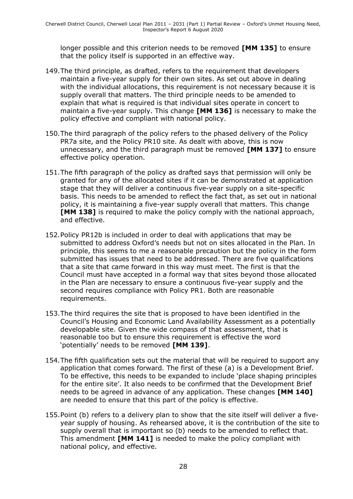longer possible and this criterion needs to be removed **[MM 135]** to ensure that the policy itself is supported in an effective way.

- 149.The third principle, as drafted, refers to the requirement that developers maintain a five-year supply for their own sites. As set out above in dealing with the individual allocations, this requirement is not necessary because it is supply overall that matters. The third principle needs to be amended to explain that what is required is that individual sites operate in concert to maintain a five-year supply. This change **[MM 136]** is necessary to make the policy effective and compliant with national policy.
- 150.The third paragraph of the policy refers to the phased delivery of the Policy PR7a site, and the Policy PR10 site. As dealt with above, this is now unnecessary, and the third paragraph must be removed **[MM 137]** to ensure effective policy operation.
- 151.The fifth paragraph of the policy as drafted says that permission will only be granted for any of the allocated sites if it can be demonstrated at application stage that they will deliver a continuous five-year supply on a site-specific basis. This needs to be amended to reflect the fact that, as set out in national policy, it is maintaining a five-year supply overall that matters. This change **[MM 138]** is required to make the policy comply with the national approach, and effective.
- 152.Policy PR12b is included in order to deal with applications that may be submitted to address Oxford's needs but not on sites allocated in the Plan. In principle, this seems to me a reasonable precaution but the policy in the form submitted has issues that need to be addressed. There are five qualifications that a site that came forward in this way must meet. The first is that the Council must have accepted in a formal way that sites beyond those allocated in the Plan are necessary to ensure a continuous five-year supply and the second requires compliance with Policy PR1. Both are reasonable requirements.
- 153.The third requires the site that is proposed to have been identified in the Council's Housing and Economic Land Availability Assessment as a potentially developable site. Given the wide compass of that assessment, that is reasonable too but to ensure this requirement is effective the word 'potentially' needs to be removed **[MM 139]**.
- 154.The fifth qualification sets out the material that will be required to support any application that comes forward. The first of these (a) is a Development Brief. To be effective, this needs to be expanded to include 'place shaping principles for the entire site'. It also needs to be confirmed that the Development Brief needs to be agreed in advance of any application. These changes **[MM 140]** are needed to ensure that this part of the policy is effective.
- 155.Point (b) refers to a delivery plan to show that the site itself will deliver a fiveyear supply of housing. As rehearsed above, it is the contribution of the site to supply overall that is important so (b) needs to be amended to reflect that. This amendment **[MM 141]** is needed to make the policy compliant with national policy, and effective.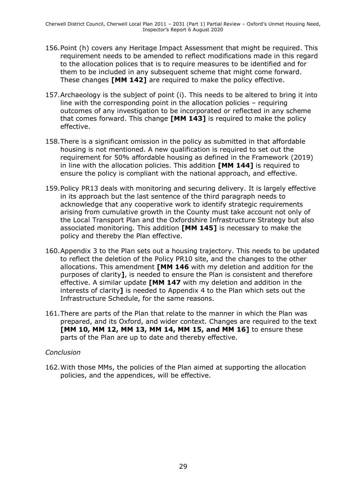- 156.Point (h) covers any Heritage Impact Assessment that might be required. This requirement needs to be amended to reflect modifications made in this regard to the allocation polices that is to require measures to be identified and for them to be included in any subsequent scheme that might come forward. These changes **[MM 142]** are required to make the policy effective.
- 157.Archaeology is the subject of point (i). This needs to be altered to bring it into line with the corresponding point in the allocation policies – requiring outcomes of any investigation to be incorporated or reflected in any scheme that comes forward. This change **[MM 143]** is required to make the policy effective.
- 158.There is a significant omission in the policy as submitted in that affordable housing is not mentioned. A new qualification is required to set out the requirement for 50% affordable housing as defined in the Framework (2019) in line with the allocation policies. This addition **[MM 144]** is required to ensure the policy is compliant with the national approach, and effective.
- 159.Policy PR13 deals with monitoring and securing delivery. It is largely effective in its approach but the last sentence of the third paragraph needs to acknowledge that any cooperative work to identify strategic requirements arising from cumulative growth in the County must take account not only of the Local Transport Plan and the Oxfordshire Infrastructure Strategy but also associated monitoring. This addition **[MM 145]** is necessary to make the policy and thereby the Plan effective.
- 160.Appendix 3 to the Plan sets out a housing trajectory. This needs to be updated to reflect the deletion of the Policy PR10 site, and the changes to the other allocations. This amendment **[MM 146** with my deletion and addition for the purposes of clarity**]**, is needed to ensure the Plan is consistent and therefore effective. A similar update **[MM 147** with my deletion and addition in the interests of clarity**]** is needed to Appendix 4 to the Plan which sets out the Infrastructure Schedule, for the same reasons.
- 161.There are parts of the Plan that relate to the manner in which the Plan was prepared, and its Oxford, and wider context. Changes are required to the text **[MM 10, MM 12, MM 13, MM 14, MM 15, and MM 16]** to ensure these parts of the Plan are up to date and thereby effective.

#### *Conclusion*

162.With those MMs, the policies of the Plan aimed at supporting the allocation policies, and the appendices, will be effective.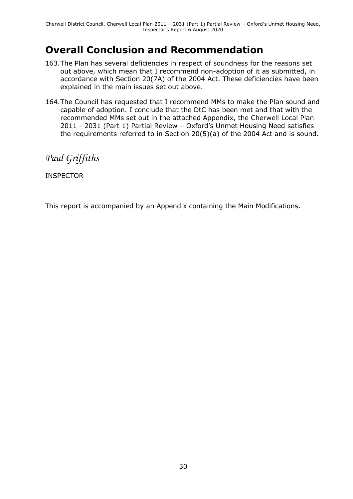# **Overall Conclusion and Recommendation**

- 163.The Plan has several deficiencies in respect of soundness for the reasons set out above, which mean that I recommend non-adoption of it as submitted, in accordance with Section 20(7A) of the 2004 Act. These deficiencies have been explained in the main issues set out above.
- 164.The Council has requested that I recommend MMs to make the Plan sound and capable of adoption. I conclude that the DtC has been met and that with the recommended MMs set out in the attached Appendix, the Cherwell Local Plan 2011 - 2031 (Part 1) Partial Review – Oxford's Unmet Housing Need satisfies the requirements referred to in Section 20(5)(a) of the 2004 Act and is sound.

*Paul Griffiths*

INSPECTOR

This report is accompanied by an Appendix containing the Main Modifications.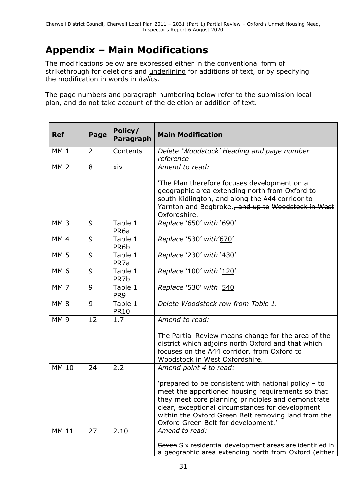# **Appendix – Main Modifications**

The modifications below are expressed either in the conventional form of strikethrough for deletions and underlining for additions of text, or by specifying the modification in words in *italics*.

The page numbers and paragraph numbering below refer to the submission local plan, and do not take account of the deletion or addition of text.

| <b>Ref</b>      | Page | Policy/<br>Paragraph        | <b>Main Modification</b>                                                                                                                                                                                                                                                                                          |
|-----------------|------|-----------------------------|-------------------------------------------------------------------------------------------------------------------------------------------------------------------------------------------------------------------------------------------------------------------------------------------------------------------|
| MM <sub>1</sub> | 2    | Contents                    | Delete 'Woodstock' Heading and page number<br>reference                                                                                                                                                                                                                                                           |
| <b>MM 2</b>     | 8    | xiv                         | Amend to read:                                                                                                                                                                                                                                                                                                    |
|                 |      |                             | 'The Plan therefore focuses development on a<br>geographic area extending north from Oxford to<br>south Kidlington, and along the A44 corridor to<br>Yarnton and Begbroke., and up to Woodstock in West<br>Oxfordshire.                                                                                           |
| MM <sub>3</sub> | 9    | Table 1<br>PR <sub>6a</sub> | Replace '650' with '690'                                                                                                                                                                                                                                                                                          |
| MM <sub>4</sub> | 9    | Table 1<br>PR6b             | Replace '530' with'670'                                                                                                                                                                                                                                                                                           |
| <b>MM 5</b>     | 9    | Table 1<br>PR7a             | Replace '230' with '430'                                                                                                                                                                                                                                                                                          |
| <b>MM6</b>      | 9    | Table 1<br>PR7b             | Replace '100' with '120'                                                                                                                                                                                                                                                                                          |
| MM <sub>7</sub> | 9    | Table 1<br>PR <sub>9</sub>  | Replace '530' with '540'                                                                                                                                                                                                                                                                                          |
| <b>MM8</b>      | 9    | Table 1<br><b>PR10</b>      | Delete Woodstock row from Table 1.                                                                                                                                                                                                                                                                                |
| <b>MM9</b>      | 12   | 1.7                         | Amend to read:                                                                                                                                                                                                                                                                                                    |
|                 |      |                             | The Partial Review means change for the area of the<br>district which adjoins north Oxford and that which<br>focuses on the A44 corridor. from Oxford to<br>Woodstock in West Oxfordshire.                                                                                                                        |
| <b>MM 10</b>    | 24   | 2.2                         | Amend point 4 to read:                                                                                                                                                                                                                                                                                            |
|                 |      |                             | 'prepared to be consistent with national policy - to<br>meet the apportioned housing requirements so that<br>they meet core planning principles and demonstrate<br>clear, exceptional circumstances for development<br>within the Oxford Green Belt removing land from the<br>Oxford Green Belt for development.' |
| <b>MM 11</b>    | 27   | 2.10                        | Amend to read:<br>Seven Six residential development areas are identified in                                                                                                                                                                                                                                       |
|                 |      |                             | a geographic area extending north from Oxford (either                                                                                                                                                                                                                                                             |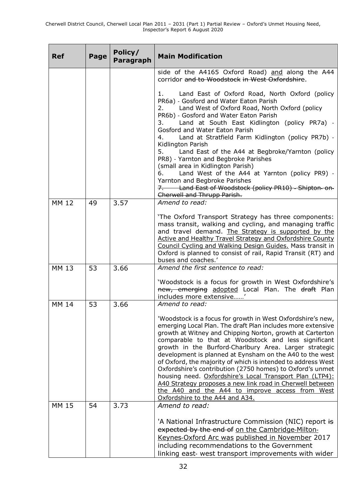| <b>Ref</b>                   | Page     | Policy/<br>Paragraph | <b>Main Modification</b>                                                                                                                                                                                                                                                                                                                                                                                                                                                                                                                                                                                                                                                                                                                              |
|------------------------------|----------|----------------------|-------------------------------------------------------------------------------------------------------------------------------------------------------------------------------------------------------------------------------------------------------------------------------------------------------------------------------------------------------------------------------------------------------------------------------------------------------------------------------------------------------------------------------------------------------------------------------------------------------------------------------------------------------------------------------------------------------------------------------------------------------|
|                              |          |                      | side of the A4165 Oxford Road) and along the A44<br>corridor and to Woodstock in West Oxfordshire.                                                                                                                                                                                                                                                                                                                                                                                                                                                                                                                                                                                                                                                    |
|                              |          |                      | Land East of Oxford Road, North Oxford (policy<br>1.<br>PR6a) - Gosford and Water Eaton Parish<br>Land West of Oxford Road, North Oxford (policy<br>2.<br>PR6b) - Gosford and Water Eaton Parish<br>Land at South East Kidlington (policy PR7a) -<br>3.<br>Gosford and Water Eaton Parish<br>Land at Stratfield Farm Kidlington (policy PR7b) -<br>4.<br>Kidlington Parish<br>Land East of the A44 at Begbroke/Yarnton (policy<br>5.<br>PR8) - Yarnton and Begbroke Parishes<br>(small area in Kidlington Parish)<br>Land West of the A44 at Yarnton (policy PR9) -<br>6.<br>Yarnton and Begbroke Parishes<br>7. Land East of Woodstock (policy PR10) - Shipton-on-<br>Cherwell and Thrupp Parish.                                                    |
| <b>MM 12</b>                 | 49       | 3.57                 | Amend to read:<br>'The Oxford Transport Strategy has three components:<br>mass transit, walking and cycling, and managing traffic<br>and travel demand. The Strategy is supported by the<br>Active and Healthy Travel Strategy and Oxfordshire County<br>Council Cycling and Walking Design Guides. Mass transit in<br>Oxford is planned to consist of rail, Rapid Transit (RT) and                                                                                                                                                                                                                                                                                                                                                                   |
| MM 13                        | 53       | 3.66                 | buses and coaches.'<br>Amend the first sentence to read:<br>'Woodstock is a focus for growth in West Oxfordshire's                                                                                                                                                                                                                                                                                                                                                                                                                                                                                                                                                                                                                                    |
|                              |          |                      | new, emerging adopted Local Plan. The draft Plan<br>includes more extensive'                                                                                                                                                                                                                                                                                                                                                                                                                                                                                                                                                                                                                                                                          |
| <b>MM 14</b><br><b>MM 15</b> | 53<br>54 | 3.66<br>3.73         | Amend to read:<br>'Woodstock is a focus for growth in West Oxfordshire's new,<br>emerging Local Plan. The draft Plan includes more extensive<br>growth at Witney and Chipping Norton, growth at Carterton<br>comparable to that at Woodstock and less significant<br>growth in the Burford-Charlbury Area. Larger strategic<br>development is planned at Eynsham on the A40 to the west<br>of Oxford, the majority of which is intended to address West<br>Oxfordshire's contribution (2750 homes) to Oxford's unmet<br>housing need. Oxfordshire's Local Transport Plan (LTP4):<br>A40 Strategy proposes a new link road in Cherwell between<br>the A40 and the A44 to improve access from West<br>Oxfordshire to the A44 and A34.<br>Amend to read: |
|                              |          |                      | 'A National Infrastructure Commission (NIC) report is<br>expected by the end of on the Cambridge-Milton-<br>Keynes-Oxford Arc was published in November 2017<br>including recommendations to the Government<br>linking east- west transport improvements with wider                                                                                                                                                                                                                                                                                                                                                                                                                                                                                   |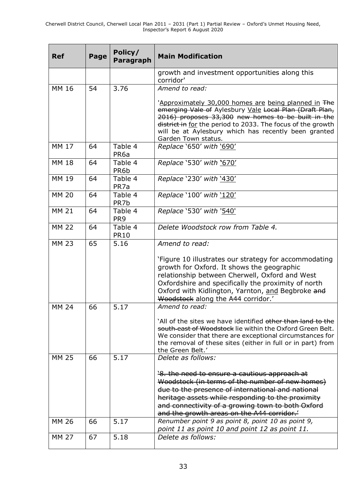| <b>Ref</b>   | Page | Policy/<br>Paragraph        | <b>Main Modification</b>                                                                                                                                                                                                                                                                                            |
|--------------|------|-----------------------------|---------------------------------------------------------------------------------------------------------------------------------------------------------------------------------------------------------------------------------------------------------------------------------------------------------------------|
|              |      |                             | growth and investment opportunities along this<br>corridor'                                                                                                                                                                                                                                                         |
| <b>MM 16</b> | 54   | 3.76                        | Amend to read:                                                                                                                                                                                                                                                                                                      |
|              |      |                             | 'Approximately 30,000 homes are being planned in The<br>emerging Vale of Aylesbury Vale Local Plan (Draft Plan,<br>2016) proposes 33,300 new homes to be built in the<br>district in for the period to 2033. The focus of the growth<br>will be at Aylesbury which has recently been granted<br>Garden Town status. |
| <b>MM 17</b> | 64   | Table 4<br>PR <sub>6a</sub> | Replace '650' with '690'                                                                                                                                                                                                                                                                                            |
| <b>MM 18</b> | 64   | Table 4<br>PR6b             | Replace '530' with '670'                                                                                                                                                                                                                                                                                            |
| <b>MM 19</b> | 64   | Table 4<br>PR <sub>7a</sub> | Replace '230' with '430'                                                                                                                                                                                                                                                                                            |
| <b>MM 20</b> | 64   | Table 4<br>PR7b             | Replace '100' with '120'                                                                                                                                                                                                                                                                                            |
| <b>MM 21</b> | 64   | Table 4<br>PR <sub>9</sub>  | Replace '530' with '540'                                                                                                                                                                                                                                                                                            |
| <b>MM 22</b> | 64   | Table 4<br><b>PR10</b>      | Delete Woodstock row from Table 4.                                                                                                                                                                                                                                                                                  |
| <b>MM 23</b> | 65   | 5.16                        | Amend to read:                                                                                                                                                                                                                                                                                                      |
|              |      |                             | 'Figure 10 illustrates our strategy for accommodating<br>growth for Oxford. It shows the geographic<br>relationship between Cherwell, Oxford and West<br>Oxfordshire and specifically the proximity of north<br>Oxford with Kidlington, Yarnton, and Begbroke and<br>Woodstock along the A44 corridor.'             |
| <b>MM 24</b> | 66   | 5.17                        | Amend to read:                                                                                                                                                                                                                                                                                                      |
|              |      |                             | `All of the sites we have identified other than land to the<br>south-east of Woodstock lie within the Oxford Green Belt.<br>We consider that there are exceptional circumstances for<br>the removal of these sites (either in full or in part) from<br>the Green Belt.'                                             |
| <b>MM 25</b> | 66   | 5.17                        | Delete as follows:                                                                                                                                                                                                                                                                                                  |
|              |      |                             | '8. the need to ensure a cautious approach at<br>Woodstock (in terms of the number of new homes)<br>due to the presence of international and national<br>heritage assets while responding to the proximity<br>and connectivity of a growing town to both Oxford<br>and the growth areas on the A44 corridor.        |
| <b>MM 26</b> | 66   | 5.17                        | Renumber point 9 as point 8, point 10 as point 9,<br>point 11 as point 10 and point 12 as point 11.                                                                                                                                                                                                                 |
| <b>MM 27</b> | 67   | 5.18                        | Delete as follows:                                                                                                                                                                                                                                                                                                  |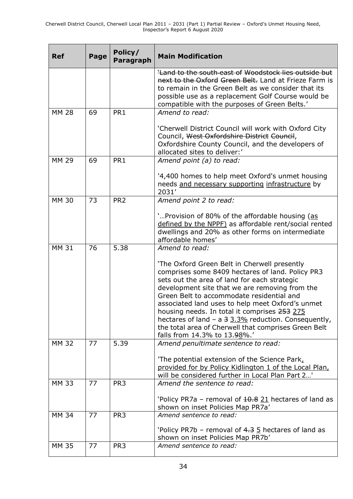| <b>Ref</b>   | Page | Policy/<br>Paragraph | <b>Main Modification</b>                                                                                                                                                                                                                                                                                                                                                                                                                                                                            |
|--------------|------|----------------------|-----------------------------------------------------------------------------------------------------------------------------------------------------------------------------------------------------------------------------------------------------------------------------------------------------------------------------------------------------------------------------------------------------------------------------------------------------------------------------------------------------|
|              |      |                      | Land to the south-east of Woodstock lies outside but<br>next to the Oxford Green Belt. Land at Frieze Farm is<br>to remain in the Green Belt as we consider that its<br>possible use as a replacement Golf Course would be<br>compatible with the purposes of Green Belts.'                                                                                                                                                                                                                         |
| <b>MM 28</b> | 69   | PR1                  | Amend to read:                                                                                                                                                                                                                                                                                                                                                                                                                                                                                      |
|              |      |                      | 'Cherwell District Council will work with Oxford City<br>Council, West Oxfordshire District Council,<br>Oxfordshire County Council, and the developers of<br>allocated sites to deliver:'                                                                                                                                                                                                                                                                                                           |
| <b>MM 29</b> | 69   | PR1                  | Amend point (a) to read:                                                                                                                                                                                                                                                                                                                                                                                                                                                                            |
|              |      |                      | '4,400 homes to help meet Oxford's unmet housing<br>needs and necessary supporting infrastructure by<br>2031'                                                                                                                                                                                                                                                                                                                                                                                       |
| <b>MM 30</b> | 73   | PR <sub>2</sub>      | Amend point 2 to read:                                                                                                                                                                                                                                                                                                                                                                                                                                                                              |
|              |      |                      | 'Provision of 80% of the affordable housing (as<br>defined by the NPPF) as affordable rent/social rented<br>dwellings and 20% as other forms on intermediate<br>affordable homes'                                                                                                                                                                                                                                                                                                                   |
| <b>MM 31</b> | 76   | 5.38                 | Amend to read:                                                                                                                                                                                                                                                                                                                                                                                                                                                                                      |
|              |      |                      | 'The Oxford Green Belt in Cherwell presently<br>comprises some 8409 hectares of land. Policy PR3<br>sets out the area of land for each strategic<br>development site that we are removing from the<br>Green Belt to accommodate residential and<br>associated land uses to help meet Oxford's unmet<br>housing needs. In total it comprises 253 275<br>hectares of land - a 3 3.3% reduction. Consequently,<br>the total area of Cherwell that comprises Green Belt<br>falls from 14.3% to 13.98%.' |
| <b>MM 32</b> | 77   | 5.39                 | Amend penultimate sentence to read:                                                                                                                                                                                                                                                                                                                                                                                                                                                                 |
|              |      |                      | 'The potential extension of the Science Park,<br>provided for by Policy Kidlington 1 of the Local Plan,<br>will be considered further in Local Plan Part 2'                                                                                                                                                                                                                                                                                                                                         |
| <b>MM 33</b> | 77   | PR <sub>3</sub>      | Amend the sentence to read:                                                                                                                                                                                                                                                                                                                                                                                                                                                                         |
|              |      |                      | 'Policy PR7a - removal of 10.8 21 hectares of land as<br>shown on inset Policies Map PR7a'                                                                                                                                                                                                                                                                                                                                                                                                          |
| <b>MM 34</b> | 77   | PR <sub>3</sub>      | Amend sentence to read:                                                                                                                                                                                                                                                                                                                                                                                                                                                                             |
|              |      |                      | 'Policy PR7b – removal of $4.3$ $5$ hectares of land as<br>shown on inset Policies Map PR7b'                                                                                                                                                                                                                                                                                                                                                                                                        |
| <b>MM 35</b> | 77   | PR <sub>3</sub>      | Amend sentence to read:                                                                                                                                                                                                                                                                                                                                                                                                                                                                             |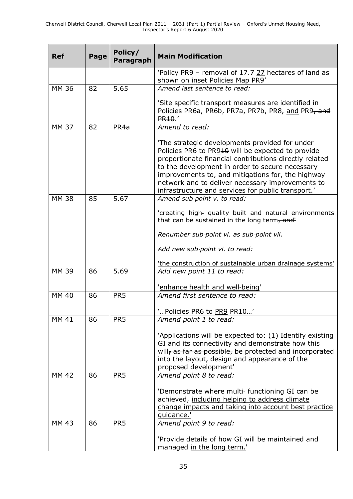| <b>Ref</b>   | Page | Policy/<br>Paragraph | <b>Main Modification</b>                                                                                                                                                                                                                                                                                                                                                        |
|--------------|------|----------------------|---------------------------------------------------------------------------------------------------------------------------------------------------------------------------------------------------------------------------------------------------------------------------------------------------------------------------------------------------------------------------------|
|              |      |                      | 'Policy PR9 - removal of 17.7 27 hectares of land as<br>shown on inset Policies Map PR9'                                                                                                                                                                                                                                                                                        |
| <b>MM 36</b> | 82   | 5.65                 | Amend last sentence to read:                                                                                                                                                                                                                                                                                                                                                    |
|              |      |                      | 'Site specific transport measures are identified in<br>Policies PR6a, PR6b, PR7a, PR7b, PR8, and PR9, and<br>PR <sub>10</sub> .                                                                                                                                                                                                                                                 |
| <b>MM 37</b> | 82   | PR <sub>4a</sub>     | Amend to read:                                                                                                                                                                                                                                                                                                                                                                  |
|              |      |                      | 'The strategic developments provided for under<br>Policies PR6 to PR910 will be expected to provide<br>proportionate financial contributions directly related<br>to the development in order to secure necessary<br>improvements to, and mitigations for, the highway<br>network and to deliver necessary improvements to<br>infrastructure and services for public transport.' |
| <b>MM 38</b> | 85   | 5.67                 | Amend sub-point v. to read:                                                                                                                                                                                                                                                                                                                                                     |
|              |      |                      | 'creating high- quality built and natural environments<br>that can be sustained in the long term, and'                                                                                                                                                                                                                                                                          |
|              |      |                      | Renumber sub-point vi. as sub-point vii.                                                                                                                                                                                                                                                                                                                                        |
|              |      |                      | Add new sub-point vi. to read:                                                                                                                                                                                                                                                                                                                                                  |
|              |      |                      | 'the construction of sustainable urban drainage systems'                                                                                                                                                                                                                                                                                                                        |
| <b>MM 39</b> | 86   | 5.69                 | Add new point 11 to read:                                                                                                                                                                                                                                                                                                                                                       |
|              |      |                      | 'enhance health and well-being'<br>Amend first sentence to read:                                                                                                                                                                                                                                                                                                                |
| <b>MM 40</b> | 86   | PR <sub>5</sub>      |                                                                                                                                                                                                                                                                                                                                                                                 |
| <b>MM 41</b> |      |                      | 'Policies PR6 to PR9 PR10'                                                                                                                                                                                                                                                                                                                                                      |
|              | 86   | PR <sub>5</sub>      | Amend point 1 to read:                                                                                                                                                                                                                                                                                                                                                          |
|              |      |                      | 'Applications will be expected to: (1) Identify existing<br>GI and its connectivity and demonstrate how this<br>will, as far as possible, be protected and incorporated<br>into the layout, design and appearance of the<br>proposed development'                                                                                                                               |
| MM 42        | 86   | PR <sub>5</sub>      | Amend point 8 to read:                                                                                                                                                                                                                                                                                                                                                          |
|              |      |                      | 'Demonstrate where multi- functioning GI can be<br>achieved, including helping to address climate<br>change impacts and taking into account best practice<br>quidance.'                                                                                                                                                                                                         |
| MM 43        | 86   | PR <sub>5</sub>      | Amend point 9 to read:                                                                                                                                                                                                                                                                                                                                                          |
|              |      |                      | 'Provide details of how GI will be maintained and<br>managed in the long term.'                                                                                                                                                                                                                                                                                                 |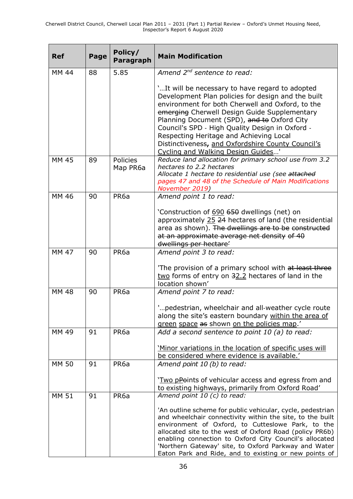| <b>Ref</b>   | Page | Policy/<br><b>Paragraph</b> | <b>Main Modification</b>                                                                                                                                                                                                                                                                                                                                                                                                                          |
|--------------|------|-----------------------------|---------------------------------------------------------------------------------------------------------------------------------------------------------------------------------------------------------------------------------------------------------------------------------------------------------------------------------------------------------------------------------------------------------------------------------------------------|
| MM 44        | 88   | 5.85                        | Amend 2 <sup>nd</sup> sentence to read:                                                                                                                                                                                                                                                                                                                                                                                                           |
|              |      |                             | 'It will be necessary to have regard to adopted<br>Development Plan policies for design and the built<br>environment for both Cherwell and Oxford, to the<br>emerging Cherwell Design Guide Supplementary<br>Planning Document (SPD), and to Oxford City<br>Council's SPD - High Quality Design in Oxford -<br>Respecting Heritage and Achieving Local<br>Distinctiveness, and Oxfordshire County Council's<br>Cycling and Walking Design Guides' |
| <b>MM 45</b> | 89   | <b>Policies</b><br>Map PR6a | Reduce land allocation for primary school use from 3.2<br>hectares to 2.2 hectares<br>Allocate 1 hectare to residential use (see attached<br>pages 47 and 48 of the Schedule of Main Modifications<br>November 2019)                                                                                                                                                                                                                              |
| MM 46        | 90   | PR <sub>6a</sub>            | Amend point 1 to read:                                                                                                                                                                                                                                                                                                                                                                                                                            |
|              |      |                             | 'Construction of 690 650 dwellings (net) on<br>approximately 25 24 hectares of land (the residential<br>area as shown). The dwellings are to be constructed<br>at an approximate average net density of 40<br>dwellings per hectare'                                                                                                                                                                                                              |
| <b>MM 47</b> | 90   | PR <sub>6a</sub>            | Amend point 3 to read:                                                                                                                                                                                                                                                                                                                                                                                                                            |
|              |      |                             | The provision of a primary school with at least three<br>two forms of entry on 32.2 hectares of land in the<br>location shown'                                                                                                                                                                                                                                                                                                                    |
| <b>MM 48</b> | 90   | PR <sub>6a</sub>            | Amend point 7 to read:                                                                                                                                                                                                                                                                                                                                                                                                                            |
|              |      |                             | pedestrian, wheelchair and all-weather cycle route<br>along the site's eastern boundary within the area of<br>green space as shown on the policies map.'                                                                                                                                                                                                                                                                                          |
| MM 49        | 91   | PR <sub>6a</sub>            | Add a second sentence to point 10 (a) to read:                                                                                                                                                                                                                                                                                                                                                                                                    |
|              |      |                             | 'Minor variations in the location of specific uses will<br>be considered where evidence is available.'                                                                                                                                                                                                                                                                                                                                            |
| <b>MM 50</b> | 91   | PR <sub>6a</sub>            | Amend point 10 (b) to read:                                                                                                                                                                                                                                                                                                                                                                                                                       |
|              |      |                             | 'Two pPoints of vehicular access and egress from and<br>to existing highways, primarily from Oxford Road'                                                                                                                                                                                                                                                                                                                                         |
| <b>MM 51</b> | 91   | PR <sub>6a</sub>            | Amend point 10 (c) to read:<br>'An outline scheme for public vehicular, cycle, pedestrian<br>and wheelchair connectivity within the site, to the built<br>environment of Oxford, to Cutteslowe Park, to the<br>allocated site to the west of Oxford Road (policy PR6b)<br>enabling connection to Oxford City Council's allocated<br>'Northern Gateway' site, to Oxford Parkway and Water<br>Eaton Park and Ride, and to existing or new points of |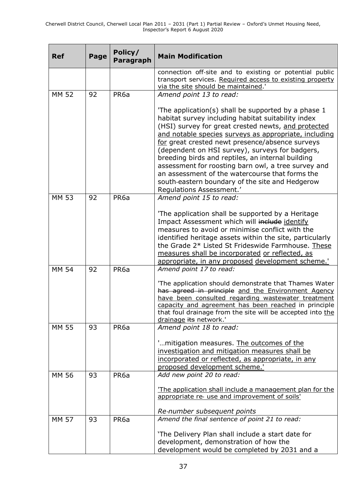| <b>Ref</b>   | Page | Policy/<br>Paragraph | <b>Main Modification</b>                                                                                                                                                                                                                                                                                                                                                                                                                                                                                                                                                     |
|--------------|------|----------------------|------------------------------------------------------------------------------------------------------------------------------------------------------------------------------------------------------------------------------------------------------------------------------------------------------------------------------------------------------------------------------------------------------------------------------------------------------------------------------------------------------------------------------------------------------------------------------|
|              |      |                      | connection off-site and to existing or potential public<br>transport services. Required access to existing property<br>via the site should be maintained.'                                                                                                                                                                                                                                                                                                                                                                                                                   |
| <b>MM 52</b> | 92   | PR <sub>6a</sub>     | Amend point 13 to read:                                                                                                                                                                                                                                                                                                                                                                                                                                                                                                                                                      |
|              |      |                      | The application(s) shall be supported by a phase 1<br>habitat survey including habitat suitability index<br>(HSI) survey for great crested newts, and protected<br>and notable species surveys as appropriate, including<br>for great crested newt presence/absence surveys<br>(dependent on HSI survey), surveys for badgers,<br>breeding birds and reptiles, an internal building<br>assessment for roosting barn owl, a tree survey and<br>an assessment of the watercourse that forms the<br>south-eastern boundary of the site and Hedgerow<br>Regulations Assessment.' |
| <b>MM 53</b> | 92   | PR <sub>6a</sub>     | Amend point 15 to read:                                                                                                                                                                                                                                                                                                                                                                                                                                                                                                                                                      |
|              |      |                      | 'The application shall be supported by a Heritage<br>Impact Assessment which will include identify<br>measures to avoid or minimise conflict with the<br>identified heritage assets within the site, particularly<br>the Grade 2* Listed St Frideswide Farmhouse. These<br>measures shall be incorporated or reflected, as<br>appropriate, in any proposed development scheme.'                                                                                                                                                                                              |
| <b>MM 54</b> | 92   | PR <sub>6a</sub>     | Amend point 17 to read:                                                                                                                                                                                                                                                                                                                                                                                                                                                                                                                                                      |
|              |      |                      | 'The application should demonstrate that Thames Water<br>has agreed in principle and the Environment Agency<br>have been consulted regarding wastewater treatment<br>capacity and agreement has been reached in principle<br>that foul drainage from the site will be accepted into the<br>drainage its network.'                                                                                                                                                                                                                                                            |
| MM 55        | 93   | PR <sub>6a</sub>     | Amend point 18 to read:                                                                                                                                                                                                                                                                                                                                                                                                                                                                                                                                                      |
|              |      |                      | "mitigation measures. The outcomes of the<br>investigation and mitigation measures shall be<br>incorporated or reflected, as appropriate, in any<br>proposed development scheme.'                                                                                                                                                                                                                                                                                                                                                                                            |
| <b>MM 56</b> | 93   | PR <sub>6a</sub>     | Add new point 20 to read:                                                                                                                                                                                                                                                                                                                                                                                                                                                                                                                                                    |
|              |      |                      | The application shall include a management plan for the<br>appropriate re- use and improvement of soils'<br>Re-number subsequent points                                                                                                                                                                                                                                                                                                                                                                                                                                      |
| <b>MM 57</b> | 93   | PR <sub>6a</sub>     | Amend the final sentence of point 21 to read:                                                                                                                                                                                                                                                                                                                                                                                                                                                                                                                                |
|              |      |                      | 'The Delivery Plan shall include a start date for<br>development, demonstration of how the<br>development would be completed by 2031 and a                                                                                                                                                                                                                                                                                                                                                                                                                                   |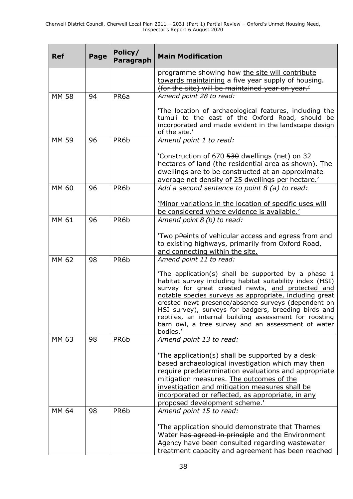| <b>Ref</b>   | Page | Policy/<br><b>Paragraph</b> | <b>Main Modification</b>                                                                                                                                                                                                                                                                                                                                                                                                                                                   |
|--------------|------|-----------------------------|----------------------------------------------------------------------------------------------------------------------------------------------------------------------------------------------------------------------------------------------------------------------------------------------------------------------------------------------------------------------------------------------------------------------------------------------------------------------------|
|              |      |                             | programme showing how the site will contribute<br>towards maintaining a five year supply of housing.<br>(for the site) will be maintained year on year.'                                                                                                                                                                                                                                                                                                                   |
| <b>MM 58</b> | 94   | PR <sub>6a</sub>            | Amend point 28 to read:                                                                                                                                                                                                                                                                                                                                                                                                                                                    |
|              |      |                             | 'The location of archaeological features, including the<br>tumuli to the east of the Oxford Road, should be<br>incorporated and made evident in the landscape design<br>of the site.'                                                                                                                                                                                                                                                                                      |
| <b>MM 59</b> | 96   | PR6b                        | Amend point 1 to read:                                                                                                                                                                                                                                                                                                                                                                                                                                                     |
|              |      |                             | 'Construction of 670 530 dwellings (net) on 32<br>hectares of land (the residential area as shown). The<br>dwellings are to be constructed at an approximate<br>average net density of 25 dwellings per hectare.'                                                                                                                                                                                                                                                          |
| MM 60        | 96   | PR6b                        | Add a second sentence to point 8 (a) to read:                                                                                                                                                                                                                                                                                                                                                                                                                              |
|              |      |                             | 'Minor variations in the location of specific uses will<br>be considered where evidence is available.'                                                                                                                                                                                                                                                                                                                                                                     |
| MM 61        | 96   | PR6b                        | Amend point 8 (b) to read:                                                                                                                                                                                                                                                                                                                                                                                                                                                 |
|              |      |                             | 'Two pPoints of vehicular access and egress from and<br>to existing highways, primarily from Oxford Road,<br>and connecting within the site.                                                                                                                                                                                                                                                                                                                               |
| MM 62        | 98   | PR6b                        | Amend point 11 to read:                                                                                                                                                                                                                                                                                                                                                                                                                                                    |
|              |      |                             | 'The application(s) shall be supported by a phase 1<br>habitat survey including habitat suitability index (HSI)<br>survey for great crested newts, and protected and<br>notable species surveys as appropriate, including great<br>crested newt presence/absence surveys (dependent on<br>HSI survey), surveys for badgers, breeding birds and<br>reptiles, an internal building assessment for roosting<br>barn owl, a tree survey and an assessment of water<br>bodies.' |
| MM 63        | 98   | PR6b                        | Amend point 13 to read:                                                                                                                                                                                                                                                                                                                                                                                                                                                    |
|              |      |                             | 'The application(s) shall be supported by a desk-<br>based archaeological investigation which may then<br>require predetermination evaluations and appropriate<br>mitigation measures. The outcomes of the<br>investigation and mitigation measures shall be<br>incorporated or reflected, as appropriate, in any<br>proposed development scheme.'                                                                                                                         |
| MM 64        | 98   | PR6b                        | Amend point 15 to read:                                                                                                                                                                                                                                                                                                                                                                                                                                                    |
|              |      |                             | The application should demonstrate that Thames<br>Water has agreed in principle and the Environment<br>Agency have been consulted regarding wastewater<br>treatment capacity and agreement has been reached                                                                                                                                                                                                                                                                |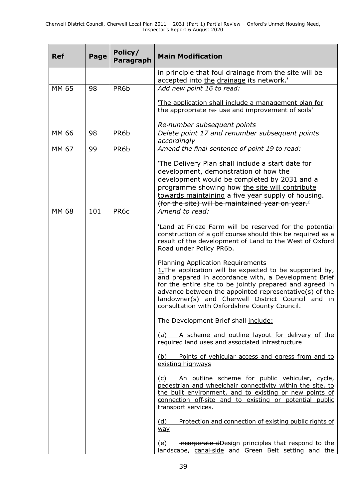| <b>Ref</b> | Page | Policy/<br>Paragraph | <b>Main Modification</b>                                                                                                                                                                                                                                                                                                                                                                  |
|------------|------|----------------------|-------------------------------------------------------------------------------------------------------------------------------------------------------------------------------------------------------------------------------------------------------------------------------------------------------------------------------------------------------------------------------------------|
|            |      |                      | in principle that foul drainage from the site will be<br>accepted into the drainage its network.'                                                                                                                                                                                                                                                                                         |
| MM 65      | 98   | PR6b                 | Add new point 16 to read:                                                                                                                                                                                                                                                                                                                                                                 |
|            |      |                      | The application shall include a management plan for<br>the appropriate re- use and improvement of soils'                                                                                                                                                                                                                                                                                  |
|            |      |                      | Re-number subsequent points                                                                                                                                                                                                                                                                                                                                                               |
| MM 66      | 98   | PR6b                 | Delete point 17 and renumber subsequent points<br>accordingly                                                                                                                                                                                                                                                                                                                             |
| MM 67      | 99   | PR6b                 | Amend the final sentence of point 19 to read:                                                                                                                                                                                                                                                                                                                                             |
|            |      |                      | 'The Delivery Plan shall include a start date for<br>development, demonstration of how the<br>development would be completed by 2031 and a<br>programme showing how the site will contribute<br>towards maintaining a five year supply of housing.<br>(for the site) will be maintained year on year.                                                                                     |
| MM 68      | 101  | PR <sub>6</sub> c    | Amend to read:                                                                                                                                                                                                                                                                                                                                                                            |
|            |      |                      | 'Land at Frieze Farm will be reserved for the potential<br>construction of a golf course should this be required as a<br>result of the development of Land to the West of Oxford<br>Road under Policy PR6b.                                                                                                                                                                               |
|            |      |                      | <b>Planning Application Requirements</b><br>$1.$ The application will be expected to be supported by,<br>and prepared in accordance with, a Development Brief<br>for the entire site to be jointly prepared and agreed in<br>advance between the appointed representative(s) of the<br>landowner(s) and Cherwell District Council and in<br>consultation with Oxfordshire County Council. |
|            |      |                      | The Development Brief shall include:                                                                                                                                                                                                                                                                                                                                                      |
|            |      |                      | (a) A scheme and outline layout for delivery of the<br>required land uses and associated infrastructure                                                                                                                                                                                                                                                                                   |
|            |      |                      | (b) Points of vehicular access and egress from and to<br>existing highways                                                                                                                                                                                                                                                                                                                |
|            |      |                      | (c) An outline scheme for public vehicular, cycle,<br>pedestrian and wheelchair connectivity within the site, to<br>the built environment, and to existing or new points of<br>connection off-site and to existing or potential public<br>transport services.                                                                                                                             |
|            |      |                      | Protection and connection of existing public rights of<br>(d)<br>way                                                                                                                                                                                                                                                                                                                      |
|            |      |                      | incorporate dDesign principles that respond to the<br><u>(e)</u><br>landscape, canal-side and Green Belt setting and the                                                                                                                                                                                                                                                                  |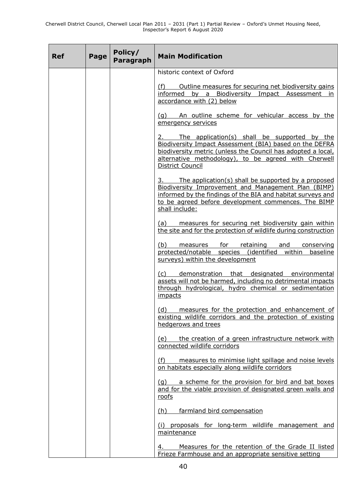| <b>Ref</b> | Page | Policy/<br>Paragraph | <b>Main Modification</b>                                                                                                                                                                                                                                      |
|------------|------|----------------------|---------------------------------------------------------------------------------------------------------------------------------------------------------------------------------------------------------------------------------------------------------------|
|            |      |                      | historic context of Oxford                                                                                                                                                                                                                                    |
|            |      |                      | (f) Outline measures for securing net biodiversity gains<br>informed by a Biodiversity Impact Assessment in<br>accordance with (2) below                                                                                                                      |
|            |      |                      | (g) An outline scheme for vehicular access by the<br>emergency services                                                                                                                                                                                       |
|            |      |                      | 2. The application(s) shall be supported by the<br>Biodiversity Impact Assessment (BIA) based on the DEFRA<br>biodiversity metric (unless the Council has adopted a local,<br>alternative methodology), to be agreed with Cherwell<br><b>District Council</b> |
|            |      |                      | 3. The application(s) shall be supported by a proposed<br>Biodiversity Improvement and Management Plan (BIMP)<br>informed by the findings of the BIA and habitat surveys and<br>to be agreed before development commences. The BIMP<br>shall include:         |
|            |      |                      | (a) measures for securing net biodiversity gain within<br>the site and for the protection of wildlife during construction                                                                                                                                     |
|            |      |                      | (b) measures for retaining and conserving<br>protected/notable species (identified within baseline<br>surveys) within the development                                                                                                                         |
|            |      |                      | (c) demonstration that designated environmental<br>assets will not be harmed, including no detrimental impacts<br>through hydrological, hydro chemical or sedimentation<br>impacts                                                                            |
|            |      |                      | (d) measures for the protection and enhancement of<br>existing wildlife corridors and the protection of existing<br>hedgerows and trees                                                                                                                       |
|            |      |                      | (e) the creation of a green infrastructure network with<br>connected wildlife corridors                                                                                                                                                                       |
|            |      |                      | (f) measures to minimise light spillage and noise levels<br>on habitats especially along wildlife corridors                                                                                                                                                   |
|            |      |                      | (g) a scheme for the provision for bird and bat boxes<br>and for the viable provision of designated green walls and<br>roofs                                                                                                                                  |
|            |      |                      | farmland bird compensation<br>(h)                                                                                                                                                                                                                             |
|            |      |                      | (i) proposals for long-term wildlife management and<br>maintenance                                                                                                                                                                                            |
|            |      |                      | Measures for the retention of the Grade II listed<br>4.<br>Frieze Farmhouse and an appropriate sensitive setting                                                                                                                                              |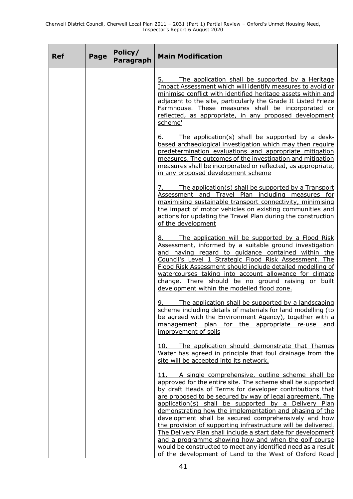| <b>Ref</b> | Page | Policy/<br><b>Paragraph</b> | <b>Main Modification</b>                                                                                                                                                                                                                                                                                                                                                                                                                                                                                                                                                                                                                                                                                                                 |
|------------|------|-----------------------------|------------------------------------------------------------------------------------------------------------------------------------------------------------------------------------------------------------------------------------------------------------------------------------------------------------------------------------------------------------------------------------------------------------------------------------------------------------------------------------------------------------------------------------------------------------------------------------------------------------------------------------------------------------------------------------------------------------------------------------------|
|            |      |                             | The application shall be supported by a Heritage<br>5.<br>Impact Assessment which will identify measures to avoid or<br>minimise conflict with identified heritage assets within and<br>adjacent to the site, particularly the Grade II Listed Frieze<br>Farmhouse. These measures shall be incorporated or<br>reflected, as appropriate, in any proposed development<br>scheme'                                                                                                                                                                                                                                                                                                                                                         |
|            |      |                             | The application(s) shall be supported by a desk-<br>6. __<br>based archaeological investigation which may then require<br>predetermination evaluations and appropriate mitigation<br>measures. The outcomes of the investigation and mitigation<br>measures shall be incorporated or reflected, as appropriate,<br>in any proposed development scheme                                                                                                                                                                                                                                                                                                                                                                                    |
|            |      |                             | <u>7. The application(s) shall be supported by a Transport</u><br>Assessment and Travel Plan including measures for<br>maximising sustainable transport connectivity, minimising<br>the impact of motor vehicles on existing communities and<br>actions for updating the Travel Plan during the construction<br>of the development                                                                                                                                                                                                                                                                                                                                                                                                       |
|            |      |                             | The application will be supported by a Flood Risk<br>Assessment, informed by a suitable ground investigation<br>and having regard to guidance contained within the<br>Council's Level 1 Strategic Flood Risk Assessment. The<br>Flood Risk Assessment should include detailed modelling of<br>watercourses taking into account allowance for climate<br>change. There should be no ground raising or built<br>development within the modelled flood zone.                                                                                                                                                                                                                                                                                |
|            |      |                             | 9. The application shall be supported by a landscaping<br>scheme including details of materials for land modelling (to<br>be agreed with the Environment Agency), together with a<br>management plan for the appropriate re-use and<br>improvement of soils                                                                                                                                                                                                                                                                                                                                                                                                                                                                              |
|            |      |                             | The application should demonstrate that Thames<br>10.<br>Water has agreed in principle that foul drainage from the<br>site will be accepted into its network.                                                                                                                                                                                                                                                                                                                                                                                                                                                                                                                                                                            |
|            |      |                             | 11. A single comprehensive, outline scheme shall be<br>approved for the entire site. The scheme shall be supported<br>by draft Heads of Terms for developer contributions that<br>are proposed to be secured by way of legal agreement. The<br>application(s) shall be supported by a Delivery Plan<br>demonstrating how the implementation and phasing of the<br>development shall be secured comprehensively and how<br>the provision of supporting infrastructure will be delivered.<br>The Delivery Plan shall include a start date for development<br>and a programme showing how and when the golf course<br>would be constructed to meet any identified need as a result<br>of the development of Land to the West of Oxford Road |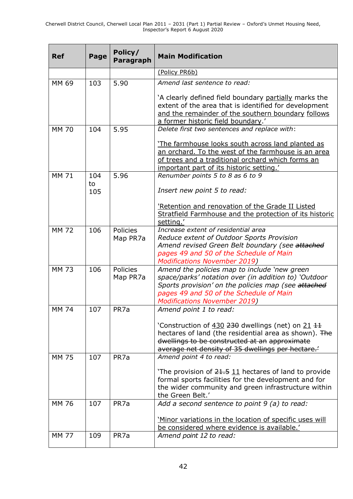| <b>Ref</b>   | Page      | Policy/<br><b>Paragraph</b> | <b>Main Modification</b>                                                                                                                                                                                                                      |
|--------------|-----------|-----------------------------|-----------------------------------------------------------------------------------------------------------------------------------------------------------------------------------------------------------------------------------------------|
|              |           |                             | (Policy PR6b)                                                                                                                                                                                                                                 |
| MM 69        | 103       | 5.90                        | Amend last sentence to read:                                                                                                                                                                                                                  |
|              |           |                             | 'A clearly defined field boundary partially marks the<br>extent of the area that is identified for development<br>and the remainder of the southern boundary follows<br>a former historic field boundary.'                                    |
| <b>MM 70</b> | 104       | 5.95                        | Delete first two sentences and replace with:                                                                                                                                                                                                  |
|              |           |                             | The farmhouse looks south across land planted as<br>an orchard. To the west of the farmhouse is an area<br>of trees and a traditional orchard which forms an<br>important part of its historic setting.'                                      |
| <b>MM 71</b> | 104<br>to | 5.96                        | Renumber points 5 to 8 as 6 to 9                                                                                                                                                                                                              |
|              | 105       |                             | Insert new point 5 to read:                                                                                                                                                                                                                   |
|              |           |                             | 'Retention and renovation of the Grade II Listed<br>Stratfield Farmhouse and the protection of its historic<br>setting.'                                                                                                                      |
| <b>MM 72</b> | 106       | Policies<br>Map PR7a        | Increase extent of residential area<br>Reduce extent of Outdoor Sports Provision<br>Amend revised Green Belt boundary (see attached<br>pages 49 and 50 of the Schedule of Main<br><b>Modifications November 2019)</b>                         |
| <b>MM 73</b> | 106       | <b>Policies</b><br>Map PR7a | Amend the policies map to include 'new green<br>space/parks' notation over (in addition to) 'Outdoor<br>Sports provision' on the policies map (see attached<br>pages 49 and 50 of the Schedule of Main<br><b>Modifications November 2019)</b> |
| <b>MM 74</b> | 107       | PR <sub>7a</sub>            | Amend point 1 to read:                                                                                                                                                                                                                        |
|              |           |                             | 'Construction of 430 230 dwellings (net) on 21 11<br>hectares of land (the residential area as shown). The<br>dwellings to be constructed at an approximate<br>average net density of 35 dwellings per hectare.                               |
| <b>MM 75</b> | 107       | PR7a                        | Amend point 4 to read:                                                                                                                                                                                                                        |
|              |           |                             | The provision of 21.5 11 hectares of land to provide<br>formal sports facilities for the development and for<br>the wider community and green infrastructure within<br>the Green Belt.'                                                       |
| <b>MM 76</b> | 107       | PR <sub>7a</sub>            | Add a second sentence to point 9 (a) to read:                                                                                                                                                                                                 |
|              |           |                             | 'Minor variations in the location of specific uses will<br>be considered where evidence is available.'                                                                                                                                        |
| <b>MM 77</b> | 109       | PR7a                        | Amend point 12 to read:                                                                                                                                                                                                                       |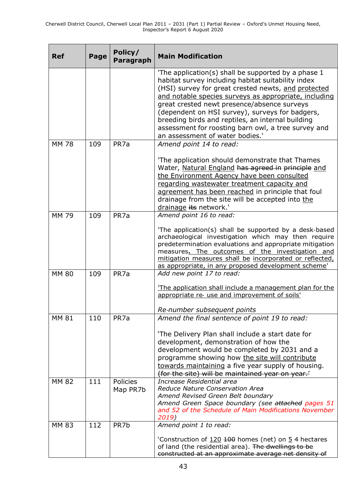| <b>Ref</b>   | Page | Policy/<br>Paragraph | <b>Main Modification</b>                                                                                                                                                                                                                                                                                                                                                                                                                                                  |
|--------------|------|----------------------|---------------------------------------------------------------------------------------------------------------------------------------------------------------------------------------------------------------------------------------------------------------------------------------------------------------------------------------------------------------------------------------------------------------------------------------------------------------------------|
|              |      |                      | The application(s) shall be supported by a phase 1<br>habitat survey including habitat suitability index<br>(HSI) survey for great crested newts, and protected<br>and notable species surveys as appropriate, including<br>great crested newt presence/absence surveys<br>(dependent on HSI survey), surveys for badgers,<br>breeding birds and reptiles, an internal building<br>assessment for roosting barn owl, a tree survey and<br>an assessment of water bodies.' |
| <b>MM 78</b> | 109  | PR7a                 | Amend point 14 to read:<br>'The application should demonstrate that Thames<br>Water, Natural England has agreed in principle and                                                                                                                                                                                                                                                                                                                                          |
|              |      |                      | the Environment Agency have been consulted<br>regarding wastewater treatment capacity and<br>agreement has been reached in principle that foul<br>drainage from the site will be accepted into the<br>drainage its network.'                                                                                                                                                                                                                                              |
| <b>MM 79</b> | 109  | PR7a                 | Amend point 16 to read:                                                                                                                                                                                                                                                                                                                                                                                                                                                   |
|              |      |                      | 'The application(s) shall be supported by a desk-based<br>archaeological investigation which may then require<br>predetermination evaluations and appropriate mitigation<br>measures. The outcomes of the investigation and<br>mitigation measures shall be incorporated or reflected,<br>as appropriate, in any proposed development scheme'                                                                                                                             |
| <b>MM 80</b> | 109  | PR <sub>7a</sub>     | Add new point 17 to read:                                                                                                                                                                                                                                                                                                                                                                                                                                                 |
|              |      |                      | The application shall include a management plan for the<br>appropriate re- use and improvement of soils'                                                                                                                                                                                                                                                                                                                                                                  |
| <b>MM 81</b> | 110  | PR <sub>7a</sub>     | Re-number subsequent points<br>Amend the final sentence of point 19 to read:                                                                                                                                                                                                                                                                                                                                                                                              |
|              |      |                      | 'The Delivery Plan shall include a start date for<br>development, demonstration of how the<br>development would be completed by 2031 and a<br>programme showing how the site will contribute<br>towards maintaining a five year supply of housing.<br>(for the site) will be maintained year on year.'                                                                                                                                                                    |
| <b>MM 82</b> | 111  | Policies<br>Map PR7b | Increase Residential area<br>Reduce Nature Conservation Area<br>Amend Revised Green Belt boundary<br>Amend Green Space boundary (see attached pages 51<br>and 52 of the Schedule of Main Modifications November<br>2019)                                                                                                                                                                                                                                                  |
| <b>MM 83</b> | 112  | PR7b                 | Amend point 1 to read:<br>'Construction of 120 100 homes (net) on 5 4 hectares<br>of land (the residential area). The dwellings to be                                                                                                                                                                                                                                                                                                                                     |
|              |      |                      | constructed at an approximate average net density of                                                                                                                                                                                                                                                                                                                                                                                                                      |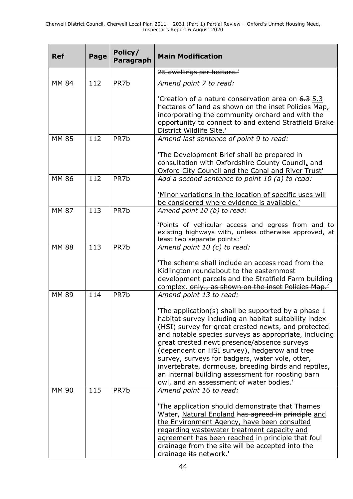| <b>Ref</b>   | Page | Policy/<br><b>Paragraph</b> | <b>Main Modification</b>                                                                                                                                                                                                                                                                                                                                                                                                                                                                                                                                           |
|--------------|------|-----------------------------|--------------------------------------------------------------------------------------------------------------------------------------------------------------------------------------------------------------------------------------------------------------------------------------------------------------------------------------------------------------------------------------------------------------------------------------------------------------------------------------------------------------------------------------------------------------------|
|              |      |                             | 25 dwellings per hectare.                                                                                                                                                                                                                                                                                                                                                                                                                                                                                                                                          |
| <b>MM 84</b> | 112  | PR7b                        | Amend point 7 to read:                                                                                                                                                                                                                                                                                                                                                                                                                                                                                                                                             |
|              |      |                             | Creation of a nature conservation area on 6.3 5.3<br>hectares of land as shown on the inset Policies Map,<br>incorporating the community orchard and with the<br>opportunity to connect to and extend Stratfield Brake<br>District Wildlife Site.'                                                                                                                                                                                                                                                                                                                 |
| <b>MM 85</b> | 112  | PR7b                        | Amend last sentence of point 9 to read:                                                                                                                                                                                                                                                                                                                                                                                                                                                                                                                            |
|              |      |                             | 'The Development Brief shall be prepared in<br>consultation with Oxfordshire County Council, and<br>Oxford City Council and the Canal and River Trust'                                                                                                                                                                                                                                                                                                                                                                                                             |
| MM 86        | 112  | PR <sub>7</sub> b           | Add a second sentence to point 10 (a) to read:                                                                                                                                                                                                                                                                                                                                                                                                                                                                                                                     |
|              |      |                             | 'Minor variations in the location of specific uses will<br>be considered where evidence is available.'                                                                                                                                                                                                                                                                                                                                                                                                                                                             |
| <b>MM 87</b> | 113  | PR <sub>7</sub> b           | Amend point 10 (b) to read:<br>'Points of vehicular access and egress from and to<br>existing highways with, unless otherwise approved, at<br>least two separate points:'                                                                                                                                                                                                                                                                                                                                                                                          |
| <b>MM 88</b> | 113  | PR7b                        | Amend point 10 (c) to read:<br>'The scheme shall include an access road from the<br>Kidlington roundabout to the easternmost<br>development parcels and the Stratfield Farm building<br>complex. only., as shown on the inset Policies Map.'                                                                                                                                                                                                                                                                                                                       |
| <b>MM 89</b> | 114  | PR7b                        | Amend point 13 to read:<br>'The application(s) shall be supported by a phase 1<br>habitat survey including an habitat suitability index<br>(HSI) survey for great crested newts, and protected<br>and notable species surveys as appropriate, including<br>great crested newt presence/absence surveys<br>(dependent on HSI survey), hedgerow and tree<br>survey, surveys for badgers, water vole, otter,<br>invertebrate, dormouse, breeding birds and reptiles,<br>an internal building assessment for roosting barn<br>owl, and an assessment of water bodies.' |
| MM 90        | 115  | PR7b                        | Amend point 16 to read:<br>'The application should demonstrate that Thames<br>Water, Natural England has agreed in principle and<br>the Environment Agency, have been consulted<br>regarding wastewater treatment capacity and<br>agreement has been reached in principle that foul<br>drainage from the site will be accepted into the<br>drainage its network.'                                                                                                                                                                                                  |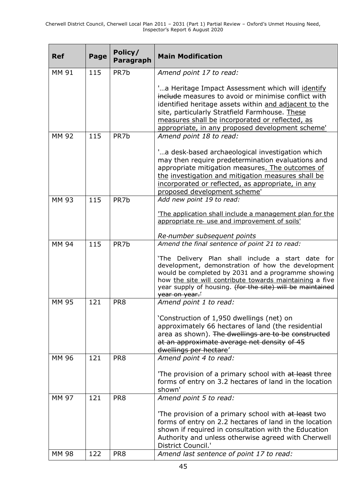| <b>Ref</b>   | Page | Policy/<br><b>Paragraph</b> | <b>Main Modification</b>                                                                                                                                                                                                                                                                                                    |
|--------------|------|-----------------------------|-----------------------------------------------------------------------------------------------------------------------------------------------------------------------------------------------------------------------------------------------------------------------------------------------------------------------------|
| MM 91        | 115  | PR7b                        | Amend point 17 to read:                                                                                                                                                                                                                                                                                                     |
|              |      |                             | " a Heritage Impact Assessment which will identify<br>include measures to avoid or minimise conflict with<br>identified heritage assets within and adjacent to the<br>site, particularly Stratfield Farmhouse. These<br>measures shall be incorporated or reflected, as<br>appropriate, in any proposed development scheme' |
| <b>MM 92</b> | 115  | PR <sub>7</sub> b           | Amend point 18 to read:                                                                                                                                                                                                                                                                                                     |
|              |      |                             | "a desk-based archaeological investigation which<br>may then require predetermination evaluations and<br>appropriate mitigation measures. The outcomes of<br>the investigation and mitigation measures shall be<br>incorporated or reflected, as appropriate, in any<br>proposed development scheme'                        |
| <b>MM 93</b> | 115  | PR <sub>7</sub> b           | Add new point 19 to read:                                                                                                                                                                                                                                                                                                   |
|              |      |                             | 'The application shall include a management plan for the<br>appropriate re- use and improvement of soils'                                                                                                                                                                                                                   |
| MM 94        | 115  | PR <sub>7</sub> b           | Re-number subsequent points<br>Amend the final sentence of point 21 to read:                                                                                                                                                                                                                                                |
|              |      |                             | 'The Delivery Plan shall include a start date for<br>development, demonstration of how the development<br>would be completed by 2031 and a programme showing<br>how the site will contribute towards maintaining a five<br>year supply of housing. (for the site) will be maintained<br>year on year.                       |
| <b>MM 95</b> | 121  | PR <sub>8</sub>             | Amend point 1 to read:                                                                                                                                                                                                                                                                                                      |
|              |      |                             | 'Construction of 1,950 dwellings (net) on<br>approximately 66 hectares of land (the residential<br>area as shown). The dwellings are to be constructed<br>at an approximate average net density of 45<br>dwellings per hectare'                                                                                             |
| MM 96        | 121  | PR8                         | Amend point 4 to read:                                                                                                                                                                                                                                                                                                      |
|              |      |                             | The provision of a primary school with at least three<br>forms of entry on 3.2 hectares of land in the location<br>shown'                                                                                                                                                                                                   |
| MM 97        | 121  | PR8                         | Amend point 5 to read:                                                                                                                                                                                                                                                                                                      |
|              |      |                             | The provision of a primary school with at least two<br>forms of entry on 2.2 hectares of land in the location<br>shown if required in consultation with the Education<br>Authority and unless otherwise agreed with Cherwell<br>District Council.'                                                                          |
| <b>MM 98</b> | 122  | PR8                         | Amend last sentence of point 17 to read:                                                                                                                                                                                                                                                                                    |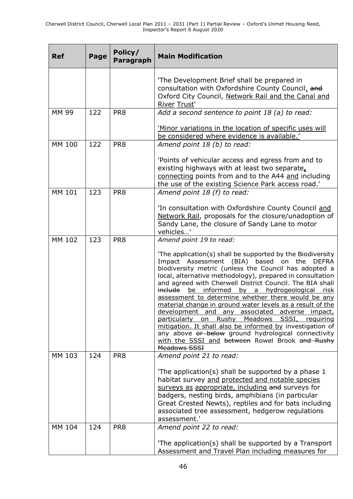| <b>Ref</b> | Page | Policy/<br><b>Paragraph</b> | <b>Main Modification</b>                                                                                                                                                                                                                                                                                                                                                                                                                                                                                                                                                                                                                                                                                                                                                |
|------------|------|-----------------------------|-------------------------------------------------------------------------------------------------------------------------------------------------------------------------------------------------------------------------------------------------------------------------------------------------------------------------------------------------------------------------------------------------------------------------------------------------------------------------------------------------------------------------------------------------------------------------------------------------------------------------------------------------------------------------------------------------------------------------------------------------------------------------|
|            |      |                             | 'The Development Brief shall be prepared in<br>consultation with Oxfordshire County Council, and<br>Oxford City Council, Network Rail and the Canal and<br>River Trust'                                                                                                                                                                                                                                                                                                                                                                                                                                                                                                                                                                                                 |
| MM 99      | 122  | PR8                         | Add a second sentence to point 18 (a) to read:                                                                                                                                                                                                                                                                                                                                                                                                                                                                                                                                                                                                                                                                                                                          |
|            |      |                             | 'Minor variations in the location of specific uses will<br>be considered where evidence is available.'                                                                                                                                                                                                                                                                                                                                                                                                                                                                                                                                                                                                                                                                  |
| MM 100     | 122  | PR8                         | Amend point 18 (b) to read:                                                                                                                                                                                                                                                                                                                                                                                                                                                                                                                                                                                                                                                                                                                                             |
|            |      |                             | 'Points of vehicular access and egress from and to<br>existing highways with at least two separate,<br>connecting points from and to the A44 and including<br>the use of the existing Science Park access road.                                                                                                                                                                                                                                                                                                                                                                                                                                                                                                                                                         |
| MM 101     | 123  | PR8                         | Amend point 18 (f) to read:                                                                                                                                                                                                                                                                                                                                                                                                                                                                                                                                                                                                                                                                                                                                             |
|            |      |                             | 'In consultation with Oxfordshire County Council and<br>Network Rail, proposals for the closure/unadoption of<br>Sandy Lane, the closure of Sandy Lane to motor<br>vehicles'                                                                                                                                                                                                                                                                                                                                                                                                                                                                                                                                                                                            |
| MM 102     | 123  | PR <sub>8</sub>             | Amend point 19 to read:                                                                                                                                                                                                                                                                                                                                                                                                                                                                                                                                                                                                                                                                                                                                                 |
|            |      |                             | 'The application(s) shall be supported by the Biodiversity<br>Impact Assessment (BIA) based on the DEFRA<br>biodiversity metric (unless the Council has adopted a<br>local, alternative methodology), prepared in consultation<br>and agreed with Cherwell District Council. The BIA shall<br>include be informed by a hydrogeological risk<br>assessment to determine whether there would be any<br>material change in ground water levels as a result of the<br>development and any associated adverse impact,<br>particularly<br>Rushy<br>Meadows<br>SSSI,<br>requiring<br>on<br>mitigation. It shall also be informed by investigation of<br>any above or below ground hydrological connectivity<br>with the SSSI and between Rowel Brook and Rushy<br>Meadows SSSI |
| MM 103     | 124  | PR8                         | Amend point 21 to read:<br>The application(s) shall be supported by a phase 1<br>habitat survey and protected and notable species<br>surveys as appropriate, including and surveys for<br>badgers, nesting birds, amphibians (in particular<br>Great Crested Newts), reptiles and for bats including<br>associated tree assessment, hedgerow regulations<br>assessment.'                                                                                                                                                                                                                                                                                                                                                                                                |
| MM 104     | 124  | PR8                         | Amend point 22 to read:                                                                                                                                                                                                                                                                                                                                                                                                                                                                                                                                                                                                                                                                                                                                                 |
|            |      |                             | 'The application(s) shall be supported by a Transport<br>Assessment and Travel Plan including measures for                                                                                                                                                                                                                                                                                                                                                                                                                                                                                                                                                                                                                                                              |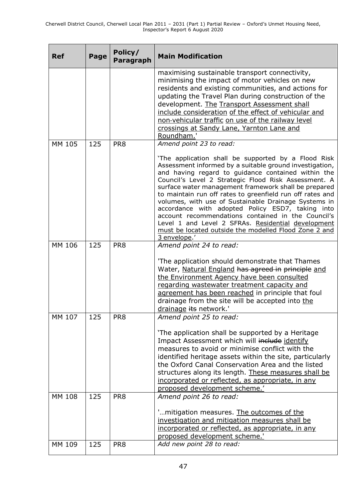| <b>Ref</b> | Page | Policy/<br>Paragraph | <b>Main Modification</b>                                                                                                                                                                                                                                                                                                                                                                                                                                                                                                                                                                                                                                                      |
|------------|------|----------------------|-------------------------------------------------------------------------------------------------------------------------------------------------------------------------------------------------------------------------------------------------------------------------------------------------------------------------------------------------------------------------------------------------------------------------------------------------------------------------------------------------------------------------------------------------------------------------------------------------------------------------------------------------------------------------------|
|            |      |                      | maximising sustainable transport connectivity,<br>minimising the impact of motor vehicles on new<br>residents and existing communities, and actions for<br>updating the Travel Plan during construction of the<br>development. The Transport Assessment shall<br>include consideration of the effect of vehicular and<br>non-vehicular traffic on use of the railway level<br>crossings at Sandy Lane, Yarnton Lane and<br>Roundham.'                                                                                                                                                                                                                                         |
| MM 105     | 125  | PR <sub>8</sub>      | Amend point 23 to read:<br>'The application shall be supported by a Flood Risk<br>Assessment informed by a suitable ground investigation,<br>and having regard to guidance contained within the<br>Council's Level 2 Strategic Flood Risk Assessment. A<br>surface water management framework shall be prepared<br>to maintain run off rates to greenfield run off rates and<br>volumes, with use of Sustainable Drainage Systems in<br>accordance with adopted Policy ESD7, taking into<br>account recommendations contained in the Council's<br>Level 1 and Level 2 SFRAs. Residential development<br>must be located outside the modelled Flood Zone 2 and<br>3 envelope.' |
| MM 106     | 125  | PR <sub>8</sub>      | Amend point 24 to read:<br>'The application should demonstrate that Thames<br>Water, Natural England has agreed in principle and<br>the Environment Agency have been consulted<br>regarding wastewater treatment capacity and<br>agreement has been reached in principle that foul<br>drainage from the site will be accepted into the<br>drainage its network.'                                                                                                                                                                                                                                                                                                              |
| MM 107     | 125  | PR8                  | Amend point 25 to read:<br>'The application shall be supported by a Heritage<br>Impact Assessment which will include identify<br>measures to avoid or minimise conflict with the<br>identified heritage assets within the site, particularly<br>the Oxford Canal Conservation Area and the listed<br>structures along its length. These measures shall be<br>incorporated or reflected, as appropriate, in any<br>proposed development scheme.'                                                                                                                                                                                                                               |
| MM 108     | 125  | PR8                  | Amend point 26 to read:<br>"mitigation measures. The outcomes of the<br>investigation and mitigation measures shall be<br>incorporated or reflected, as appropriate, in any<br>proposed development scheme.'                                                                                                                                                                                                                                                                                                                                                                                                                                                                  |
| MM 109     | 125  | PR8                  | Add new point 28 to read:                                                                                                                                                                                                                                                                                                                                                                                                                                                                                                                                                                                                                                                     |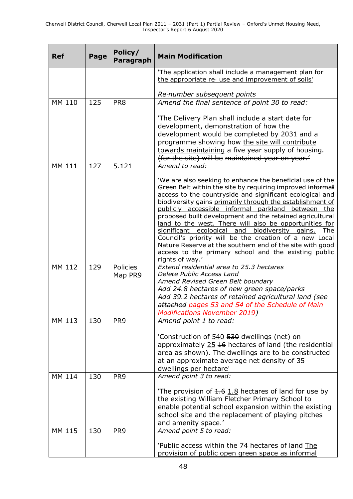| <b>Ref</b> | Page | Policy/<br><b>Paragraph</b> | <b>Main Modification</b>                                                                                                                                                                                                                                                                                                                                                                                                                                                                                                                                                                                                                                                                   |
|------------|------|-----------------------------|--------------------------------------------------------------------------------------------------------------------------------------------------------------------------------------------------------------------------------------------------------------------------------------------------------------------------------------------------------------------------------------------------------------------------------------------------------------------------------------------------------------------------------------------------------------------------------------------------------------------------------------------------------------------------------------------|
|            |      |                             | 'The application shall include a management plan for<br>the appropriate re- use and improvement of soils'                                                                                                                                                                                                                                                                                                                                                                                                                                                                                                                                                                                  |
|            |      |                             | Re-number subsequent points                                                                                                                                                                                                                                                                                                                                                                                                                                                                                                                                                                                                                                                                |
| MM 110     | 125  | PR <sub>8</sub>             | Amend the final sentence of point 30 to read:<br>'The Delivery Plan shall include a start date for<br>development, demonstration of how the<br>development would be completed by 2031 and a<br>programme showing how the site will contribute<br>towards maintaining a five year supply of housing.                                                                                                                                                                                                                                                                                                                                                                                        |
| MM 111     | 127  | 5.121                       | (for the site) will be maintained year on year.<br>Amend to read:                                                                                                                                                                                                                                                                                                                                                                                                                                                                                                                                                                                                                          |
|            |      |                             | 'We are also seeking to enhance the beneficial use of the<br>Green Belt within the site by requiring improved informal<br>access to the countryside and significant ecological and<br>biodiversity gains primarily through the establishment of<br>publicly accessible informal parkland<br>between the<br>proposed built development and the retained agricultural<br>land to the west. There will also be opportunities for<br>significant ecological and<br>biodiversity gains.<br>The<br>Council's priority will be the creation of a new Local<br>Nature Reserve at the southern end of the site with good<br>access to the primary school and the existing public<br>rights of way.' |
| MM 112     | 129  | Policies<br>Map PR9         | Extend residential area to 25.3 hectares<br>Delete Public Access Land<br>Amend Revised Green Belt boundary<br>Add 24.8 hectares of new green space/parks<br>Add 39.2 hectares of retained agricultural land (see<br>attached pages 53 and 54 of the Schedule of Main<br><b>Modifications November 2019)</b>                                                                                                                                                                                                                                                                                                                                                                                |
| MM 113     | 130  | PR <sub>9</sub>             | Amend point 1 to read:<br>'Construction of 540 530 dwellings (net) on<br>approximately 25 16 hectares of land (the residential<br>area as shown). The dwellings are to be constructed<br>at an approximate average net density of 35<br>dwellings per hectare'                                                                                                                                                                                                                                                                                                                                                                                                                             |
| MM 114     | 130  | PR <sub>9</sub>             | Amend point 3 to read:<br>The provision of $1.6$ 1.8 hectares of land for use by<br>the existing William Fletcher Primary School to<br>enable potential school expansion within the existing<br>school site and the replacement of playing pitches<br>and amenity space.'                                                                                                                                                                                                                                                                                                                                                                                                                  |
| MM 115     | 130  | PR <sub>9</sub>             | Amend point 5 to read:<br>'Public access within the 74 hectares of land The<br>provision of public open green space as informal                                                                                                                                                                                                                                                                                                                                                                                                                                                                                                                                                            |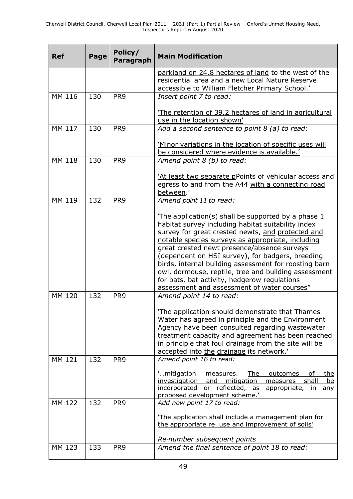| <b>Ref</b> | Page | Policy/<br>Paragraph | <b>Main Modification</b>                                                                                                                                                                                                                                                                                                                                                                                                                                                                                                              |
|------------|------|----------------------|---------------------------------------------------------------------------------------------------------------------------------------------------------------------------------------------------------------------------------------------------------------------------------------------------------------------------------------------------------------------------------------------------------------------------------------------------------------------------------------------------------------------------------------|
|            |      |                      | parkland on 24.8 hectares of land to the west of the<br>residential area and a new Local Nature Reserve<br>accessible to William Fletcher Primary School.'                                                                                                                                                                                                                                                                                                                                                                            |
| MM 116     | 130  | PR <sub>9</sub>      | Insert point 7 to read:                                                                                                                                                                                                                                                                                                                                                                                                                                                                                                               |
|            |      |                      | The retention of 39.2 hectares of land in agricultural<br>use in the location shown'                                                                                                                                                                                                                                                                                                                                                                                                                                                  |
| MM 117     | 130  | PR <sub>9</sub>      | Add a second sentence to point $8$ (a) to read:                                                                                                                                                                                                                                                                                                                                                                                                                                                                                       |
|            |      |                      | 'Minor variations in the location of specific uses will<br>be considered where evidence is available.'                                                                                                                                                                                                                                                                                                                                                                                                                                |
| MM 118     | 130  | PR <sub>9</sub>      | Amend point 8 (b) to read:                                                                                                                                                                                                                                                                                                                                                                                                                                                                                                            |
|            |      |                      | 'At least two separate pPoints of vehicular access and<br>egress to and from the A44 with a connecting road<br>between.'                                                                                                                                                                                                                                                                                                                                                                                                              |
| MM 119     | 132  | PR <sub>9</sub>      | Amend point 11 to read:                                                                                                                                                                                                                                                                                                                                                                                                                                                                                                               |
|            |      |                      | The application(s) shall be supported by a phase 1<br>habitat survey including habitat suitability index<br>survey for great crested newts, and protected and<br>notable species surveys as appropriate, including<br>great crested newt presence/absence surveys<br>(dependent on HSI survey), for badgers, breeding<br>birds, internal building assessment for roosting barn<br>owl, dormouse, reptile, tree and building assessment<br>for bats, bat activity, hedgerow regulations<br>assessment and assessment of water courses" |
| MM 120     | 132  | PR <sub>9</sub>      | Amend point 14 to read:<br>'The application should demonstrate that Thames<br>Water has agreed in principle and the Environment<br>Agency have been consulted regarding wastewater<br>treatment capacity and agreement has been reached<br>in principle that foul drainage from the site will be<br>accepted into the drainage its network.'                                                                                                                                                                                          |
| MM 121     | 132  | PR <sub>9</sub>      | Amend point 16 to read:<br>'mitigation<br>The<br>measures.<br>outcomes<br>the<br>οf<br>investigation and mitigation<br>shall<br><u>be</u><br>measures<br>incorporated or reflected, as appropriate,<br>$\mathsf{In}^-$<br><u>any</u><br>proposed development scheme.'                                                                                                                                                                                                                                                                 |
| MM 122     | 132  | PR <sub>9</sub>      | Add new point 17 to read:<br>'The application shall include a management plan for<br>the appropriate re- use and improvement of soils'<br>Re-number subsequent points                                                                                                                                                                                                                                                                                                                                                                 |
| MM 123     | 133  | PR <sub>9</sub>      | Amend the final sentence of point 18 to read:                                                                                                                                                                                                                                                                                                                                                                                                                                                                                         |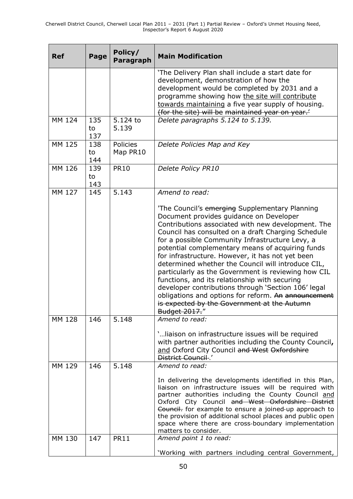| <b>Ref</b> | Page             | Policy/<br><b>Paragraph</b> | <b>Main Modification</b>                                                                                                                                                                                                                                                                                                                                                                                                                                                                                                                                                                                                                                                                                            |
|------------|------------------|-----------------------------|---------------------------------------------------------------------------------------------------------------------------------------------------------------------------------------------------------------------------------------------------------------------------------------------------------------------------------------------------------------------------------------------------------------------------------------------------------------------------------------------------------------------------------------------------------------------------------------------------------------------------------------------------------------------------------------------------------------------|
|            |                  |                             | 'The Delivery Plan shall include a start date for<br>development, demonstration of how the<br>development would be completed by 2031 and a<br>programme showing how the site will contribute<br>towards maintaining a five year supply of housing.<br>(for the site) will be maintained year on year.                                                                                                                                                                                                                                                                                                                                                                                                               |
| MM 124     | 135<br>to<br>137 | $5.124$ to<br>5.139         | Delete paragraphs 5.124 to 5.139.                                                                                                                                                                                                                                                                                                                                                                                                                                                                                                                                                                                                                                                                                   |
| MM 125     | 138<br>to<br>144 | Policies<br>Map PR10        | Delete Policies Map and Key                                                                                                                                                                                                                                                                                                                                                                                                                                                                                                                                                                                                                                                                                         |
| MM 126     | 139<br>to<br>143 | <b>PR10</b>                 | Delete Policy PR10                                                                                                                                                                                                                                                                                                                                                                                                                                                                                                                                                                                                                                                                                                  |
| MM 127     | 145              | 5.143                       | Amend to read:                                                                                                                                                                                                                                                                                                                                                                                                                                                                                                                                                                                                                                                                                                      |
|            |                  |                             | 'The Council's emerging Supplementary Planning<br>Document provides guidance on Developer<br>Contributions associated with new development. The<br>Council has consulted on a draft Charging Schedule<br>for a possible Community Infrastructure Levy, a<br>potential complementary means of acquiring funds<br>for infrastructure. However, it has not yet been<br>determined whether the Council will introduce CIL,<br>particularly as the Government is reviewing how CIL<br>functions, and its relationship with securing<br>developer contributions through 'Section 106' legal<br>obligations and options for reform. An announcement<br>is expected by the Government at the Autumn<br><b>Budget 2017."</b> |
| MM 128     | 146              | 5.148                       | Amend to read:<br>' liaison on infrastructure issues will be required<br>with partner authorities including the County Council,<br>and Oxford City Council and West Oxfordshire<br>District Council-.'                                                                                                                                                                                                                                                                                                                                                                                                                                                                                                              |
| MM 129     | 146              | 5.148                       | Amend to read:<br>In delivering the developments identified in this Plan,<br>liaison on infrastructure issues will be required with<br>partner authorities including the County Council and<br>Oxford City Council and West Oxfordshire District<br>Council. for example to ensure a joined-up approach to<br>the provision of additional school places and public open<br>space where there are cross-boundary implementation<br>matters to consider.                                                                                                                                                                                                                                                              |
| MM 130     | 147              | <b>PR11</b>                 | Amend point 1 to read:<br>'Working with partners including central Government,                                                                                                                                                                                                                                                                                                                                                                                                                                                                                                                                                                                                                                      |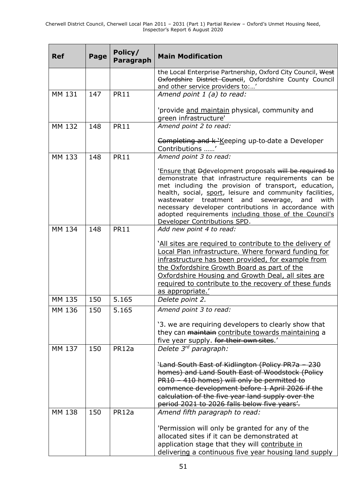| <b>Ref</b> | Page | Policy/<br><b>Paragraph</b> | <b>Main Modification</b>                                                                                                                                                                                                                                                                                                                                                                                                                    |
|------------|------|-----------------------------|---------------------------------------------------------------------------------------------------------------------------------------------------------------------------------------------------------------------------------------------------------------------------------------------------------------------------------------------------------------------------------------------------------------------------------------------|
|            |      |                             | the Local Enterprise Partnership, Oxford City Council, West<br>Oxfordshire District Council, Oxfordshire County Council<br>and other service providers to:'                                                                                                                                                                                                                                                                                 |
| MM 131     | 147  | <b>PR11</b>                 | Amend point 1 (a) to read:                                                                                                                                                                                                                                                                                                                                                                                                                  |
|            |      |                             | 'provide and maintain physical, community and<br>green infrastructure'                                                                                                                                                                                                                                                                                                                                                                      |
| MM 132     | 148  | <b>PR11</b>                 | Amend point 2 to read:                                                                                                                                                                                                                                                                                                                                                                                                                      |
|            |      |                             | Completing and k 'Keeping up-to-date a Developer<br>Contributions '                                                                                                                                                                                                                                                                                                                                                                         |
| MM 133     | 148  | <b>PR11</b>                 | Amend point 3 to read:                                                                                                                                                                                                                                                                                                                                                                                                                      |
|            |      |                             | 'Ensure that Ddevelopment proposals will be required to<br>demonstrate that infrastructure requirements can be<br>met including the provision of transport, education,<br>health, social, sport, leisure and community facilities,<br>wastewater treatment and<br>sewerage,<br>and<br>with<br>necessary developer contributions in accordance with<br>adopted requirements including those of the Council's<br>Developer Contributions SPD. |
| MM 134     | 148  | <b>PR11</b>                 | Add new point 4 to read:                                                                                                                                                                                                                                                                                                                                                                                                                    |
|            |      |                             | 'All sites are required to contribute to the delivery of<br>Local Plan infrastructure. Where forward funding for<br>infrastructure has been provided, for example from<br>the Oxfordshire Growth Board as part of the<br>Oxfordshire Housing and Growth Deal, all sites are<br>required to contribute to the recovery of these funds<br>as appropriate.'                                                                                    |
| MM 135     | 150  | 5.165                       | Delete point 2.                                                                                                                                                                                                                                                                                                                                                                                                                             |
| MM 136     | 150  | 5.165                       | Amend point 3 to read:<br>'3. we are requiring developers to clearly show that<br>they can maintain contribute towards maintaining a<br>five year supply. for their own sites.'                                                                                                                                                                                                                                                             |
| MM 137     | 150  | PR12a                       | Delete 3rd paragraph:                                                                                                                                                                                                                                                                                                                                                                                                                       |
|            |      |                             | <b>Land South East of Kidlington (Policy PR7a - 230)</b><br>homes) and Land South East of Woodstock (Policy<br>PR10 - 410 homes) will only be permitted to<br>commence development before 1 April 2026 if the<br>calculation of the five year land supply over the<br>period 2021 to 2026 falls below five years'.                                                                                                                          |
| MM 138     | 150  | PR12a                       | Amend fifth paragraph to read:                                                                                                                                                                                                                                                                                                                                                                                                              |
|            |      |                             | 'Permission will only be granted for any of the<br>allocated sites if it can be demonstrated at<br>application stage that they will contribute in<br>delivering a continuous five year housing land supply                                                                                                                                                                                                                                  |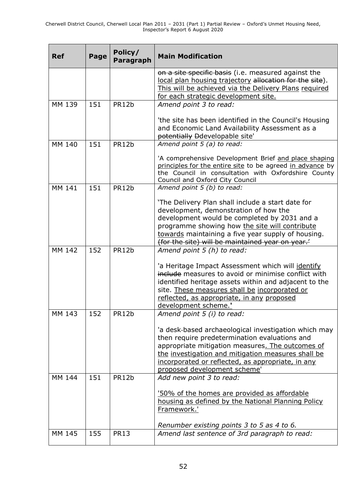| <b>Ref</b> | Page | Policy/<br><b>Paragraph</b> | <b>Main Modification</b>                                                                                                                                                                                                                                                                              |
|------------|------|-----------------------------|-------------------------------------------------------------------------------------------------------------------------------------------------------------------------------------------------------------------------------------------------------------------------------------------------------|
|            |      |                             | on a site specific basis (i.e. measured against the<br>local plan housing trajectory allocation for the site).<br>This will be achieved via the Delivery Plans required<br>for each strategic development site.                                                                                       |
| MM 139     | 151  | PR12b                       | Amend point 3 to read:                                                                                                                                                                                                                                                                                |
|            |      |                             | 'the site has been identified in the Council's Housing<br>and Economic Land Availability Assessment as a<br>potentially Ddevelopable site'                                                                                                                                                            |
| MM 140     | 151  | PR12b                       | Amend point 5 (a) to read:                                                                                                                                                                                                                                                                            |
|            |      |                             | 'A comprehensive Development Brief and place shaping<br>principles for the entire site to be agreed in advance by<br>the Council in consultation with Oxfordshire County<br>Council and Oxford City Council                                                                                           |
| MM 141     | 151  | PR12b                       | Amend point 5 (b) to read:                                                                                                                                                                                                                                                                            |
|            |      |                             | 'The Delivery Plan shall include a start date for<br>development, demonstration of how the<br>development would be completed by 2031 and a<br>programme showing how the site will contribute<br>towards maintaining a five year supply of housing.<br>(for the site) will be maintained year on year. |
| MM 142     | 152  | PR12b                       | Amend point 5 (h) to read:                                                                                                                                                                                                                                                                            |
|            |      |                             | 'a Heritage Impact Assessment which will identify<br>include measures to avoid or minimise conflict with<br>identified heritage assets within and adjacent to the<br>site. These measures shall be incorporated or<br>reflected, as appropriate, in any proposed<br>development scheme.'              |
| MM 143     | 152  | PR12b                       | Amend point 5 (i) to read:                                                                                                                                                                                                                                                                            |
|            |      |                             | 'a desk-based archaeological investigation which may<br>then require predetermination evaluations and<br>appropriate mitigation measures. The outcomes of<br>the investigation and mitigation measures shall be<br>incorporated or reflected, as appropriate, in any<br>proposed development scheme'  |
| MM 144     | 151  | PR12b                       | Add new point 3 to read:                                                                                                                                                                                                                                                                              |
|            |      |                             | <u>'50% of the homes are provided as affordable</u><br>housing as defined by the National Planning Policy<br>Framework.'<br>Renumber existing points 3 to 5 as 4 to 6.                                                                                                                                |
| MM 145     | 155  | <b>PR13</b>                 | Amend last sentence of 3rd paragraph to read:                                                                                                                                                                                                                                                         |